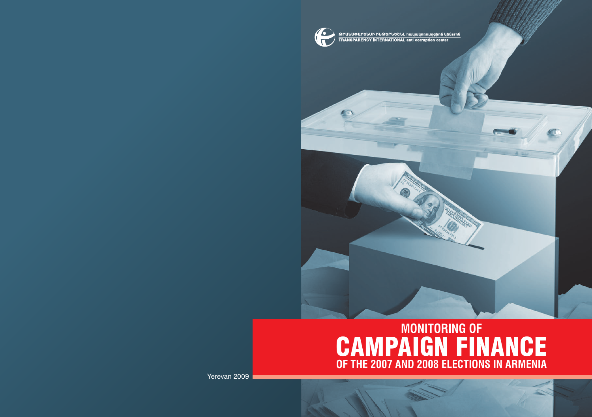

ԹՐԱՆՍՓԱՐԵՆՍԻ ԻՆԹԵՐՆԵՇՆԼ հակակոռուտցիոն կենsrոն<br>TRANSPARENCY INTERNATIONAL anti-corruption center

# **MONITORING OF** CAMPAIGN FINANCE **OF THE 2007 AND 2008 ELECTIONS IN ARMENIA**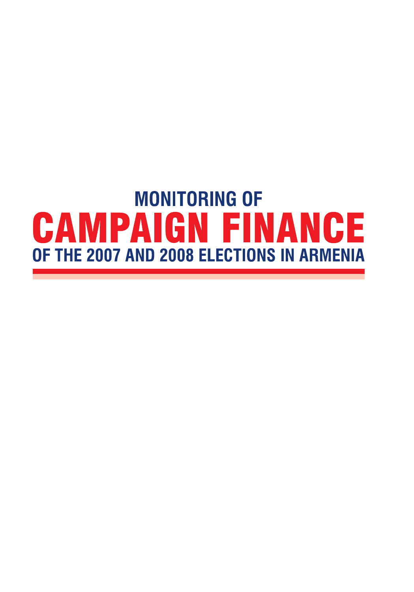# **MONITORING OF CAMPAIGN FINANCE** OF THE 2007 AND 2008 ELECTIONS IN ARMENIA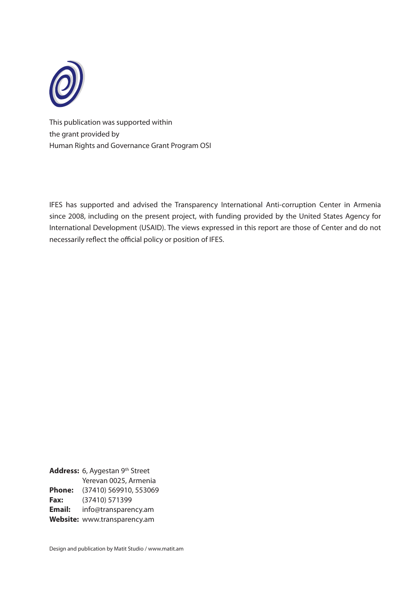

This publication was supported within the grant provided by Human Rights and Governance Grant Program OSI

IFES has supported and advised the Transparency International Anti-corruption Center in Armenia since 2008, including on the present project, with funding provided by the United States Agency for International Development (USAID). The views expressed in this report are those of Center and do not necessarily reflect the official policy or position of IFES.

**Address:** 6, Aygestan 9th Street Yerevan 0025, Armenia **Phone:** (37410) 569910, 553069 **Fax:** (37410) 571399 **Email:** info@transparency.am **Website:** www.transparency.am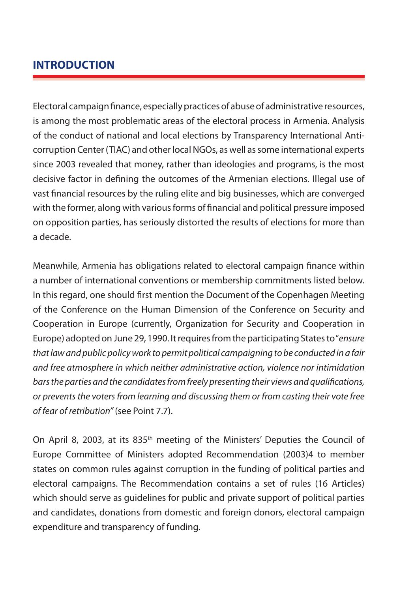# **INTRODUCTION**

Electoral campaign finance, especially practices of abuse of administrative resources, is among the most problematic areas of the electoral process in Armenia. Analysis of the conduct of national and local elections by Transparency International Anticorruption Center (TIAC) and other local NGOs, as well as some international experts since 2003 revealed that money, rather than ideologies and programs, is the most decisive factor in defining the outcomes of the Armenian elections. Illegal use of vast financial resources by the ruling elite and big businesses, which are converged with the former, along with various forms of financial and political pressure imposed on opposition parties, has seriously distorted the results of elections for more than a decade.

Meanwhile, Armenia has obligations related to electoral campaign finance within a number of international conventions or membership commitments listed below. In this regard, one should first mention the Document of the Copenhagen Meeting of the Conference on the Human Dimension of the Conference on Security and Cooperation in Europe (currently, Organization for Security and Cooperation in Europe) adopted on June 29, 1990. It requires from the participating States to "*ensure that law and public policy work to permit political campaigning to be conducted in a fair and free atmosphere in which neither administrative action, violence nor intimidation bars the parties and the candidates from freely presenting their views and qualifications, or prevents the voters from learning and discussing them or from casting their vote free of fear of retribution"* (see Point 7.7).

On April 8, 2003, at its 835<sup>th</sup> meeting of the Ministers' Deputies the Council of Europe Committee of Ministers adopted Recommendation (2003)4 to member states on common rules against corruption in the funding of political parties and electoral campaigns. The Recommendation contains a set of rules (16 Articles) which should serve as guidelines for public and private support of political parties and candidates, donations from domestic and foreign donors, electoral campaign expenditure and transparency of funding.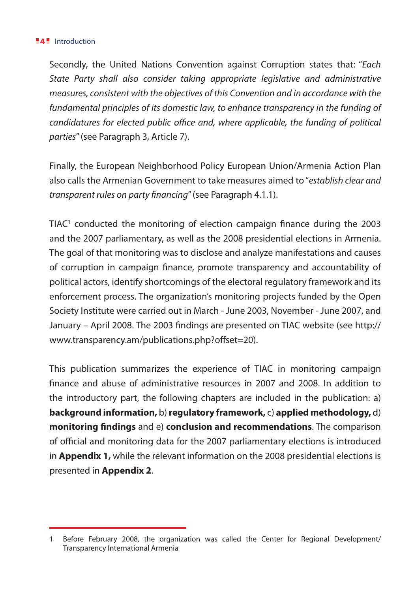#### **4** Introduction

Secondly, the United Nations Convention against Corruption states that: "*Each State Party shall also consider taking appropriate legislative and administrative measures, consistent with the objectives of this Convention and in accordance with the fundamental principles of its domestic law, to enhance transparency in the funding of candidatures for elected public office and, where applicable, the funding of political parties*" (see Paragraph 3, Article 7).

Finally, the European Neighborhood Policy European Union/Armenia Action Plan also calls the Armenian Government to take measures aimed to "*establish clear and transparent rules on party financing*" (see Paragraph 4.1.1).

TIAC<sup>1</sup> conducted the monitoring of election campaign finance during the 2003 and the 2007 parliamentary, as well as the 2008 presidential elections in Armenia. The goal of that monitoring was to disclose and analyze manifestations and causes of corruption in campaign finance, promote transparency and accountability of political actors, identify shortcomings of the electoral regulatory framework and its enforcement process. The organization's monitoring projects funded by the Open Society Institute were carried out in March - June 2003, November - June 2007, and January – April 2008. The 2003 findings are presented on TIAC website (see http:// www.transparency.am/publications.php?offset=20).

This publication summarizes the experience of TIAC in monitoring campaign finance and abuse of administrative resources in 2007 and 2008. In addition to the introductory part, the following chapters are included in the publication: a) **background information,** b) **regulatory framework,** c) **applied methodology,** d) **monitoring findings** and e) **conclusion and recommendations**. The comparison of official and monitoring data for the 2007 parliamentary elections is introduced in **Appendix 1,** while the relevant information on the 2008 presidential elections is presented in **Appendix 2**.

<sup>1</sup> Before February 2008, the organization was called the Center for Regional Development/ Transparency International Armenia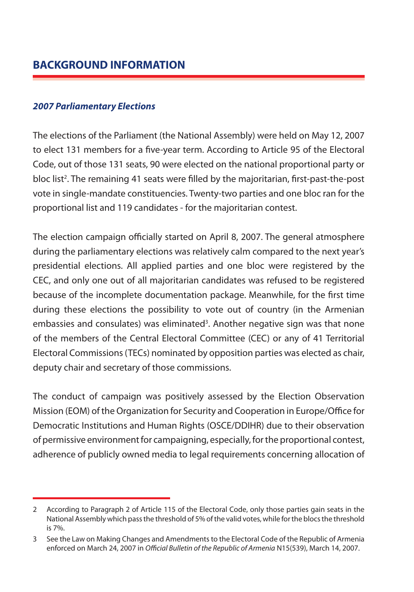## *2007 Parliamentary Elections*

The elections of the Parliament (the National Assembly) were held on May 12, 2007 to elect 131 members for a five-year term. According to Article 95 of the Electoral Code, out of those 131 seats, 90 were elected on the national proportional party or bloc list<sup>2</sup>. The remaining 41 seats were filled by the majoritarian, first-past-the-post vote in single-mandate constituencies. Twenty-two parties and one bloc ran for the proportional list and 119 candidates - for the majoritarian contest.

The election campaign officially started on April 8, 2007. The general atmosphere during the parliamentary elections was relatively calm compared to the next year's presidential elections. All applied parties and one bloc were registered by the CEC, and only one out of all majoritarian candidates was refused to be registered because of the incomplete documentation package. Meanwhile, for the first time during these elections the possibility to vote out of country (in the Armenian embassies and consulates) was eliminated<sup>3</sup>. Another negative sign was that none of the members of the Central Electoral Committee (CEC) or any of 41 Territorial Electoral Commissions (TECs) nominated by opposition parties was elected as chair, deputy chair and secretary of those commissions.

The conduct of campaign was positively assessed by the Election Observation Mission (EOM) of the Organization for Security and Cooperation in Europe/Office for Democratic Institutions and Human Rights (OSCE/DDIHR) due to their observation of permissive environment for campaigning, especially, for the proportional contest, adherence of publicly owned media to legal requirements concerning allocation of

<sup>2</sup> According to Paragraph 2 of Article 115 of the Electoral Code, only those parties gain seats in the National Assembly which pass the threshold of 5% of the valid votes, while for the blocs the threshold is 7%.

<sup>3</sup> See the Law on Making Changes and Amendments to the Electoral Code of the Republic of Armenia enforced on March 24, 2007 in *Official Bulletin of the Republic of Armenia* N15(539), March 14, 2007.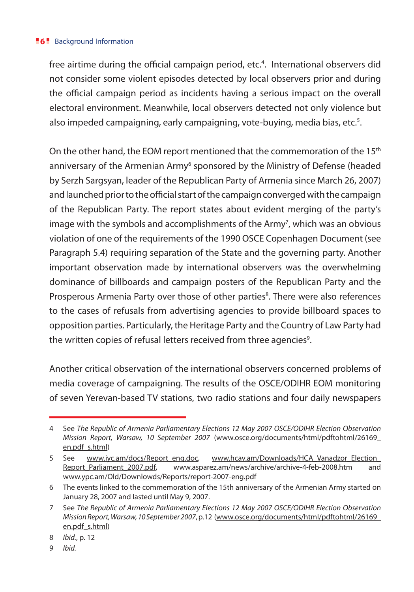free airtime during the official campaign period, etc.<sup>4</sup>. International observers did not consider some violent episodes detected by local observers prior and during the official campaign period as incidents having a serious impact on the overall electoral environment. Meanwhile, local observers detected not only violence but also impeded campaigning, early campaigning, vote-buying, media bias, etc.<sup>s</sup>.

On the other hand, the EOM report mentioned that the commemoration of the 15<sup>th</sup> anniversary of the Armenian Army<sup>6</sup> sponsored by the Ministry of Defense (headed by Serzh Sargsyan, leader of the Republican Party of Armenia since March 26, 2007) and launched prior to the official start of the campaign converged with the campaign of the Republican Party. The report states about evident merging of the party's image with the symbols and accomplishments of the Army<sup>7</sup>, which was an obvious violation of one of the requirements of the 1990 OSCE Copenhagen Document (see Paragraph 5.4) requiring separation of the State and the governing party. Another important observation made by international observers was the overwhelming dominance of billboards and campaign posters of the Republican Party and the Prosperous Armenia Party over those of other parties<sup>8</sup>. There were also references to the cases of refusals from advertising agencies to provide billboard spaces to opposition parties. Particularly, the Heritage Party and the Country of Law Party had the written copies of refusal letters received from three agencies<sup>9</sup>.

Another critical observation of the international observers concerned problems of media coverage of campaigning. The results of the OSCE/ODIHR EOM monitoring of seven Yerevan-based TV stations, two radio stations and four daily newspapers

<sup>4</sup> See *The Republic of Armenia Parliamentary Elections 12 May 2007 OSCE/ODIHR Election Observation Mission Report, Warsaw, 10 September 2007* (www.osce.org/documents/html/pdftohtml/26169\_ en.pdf\_s.html)

<sup>5</sup> See www.iyc.am/docs/Report\_eng.doc, www.hcav.am/Downloads/HCA\_Vanadzor\_Election\_ Report\_Parliament\_2007.pdf, www.asparez.am/news/archive/archive-4-feb-2008.htm and www.ypc.am/Old/Downlowds/Reports/report-2007-eng.pdf

<sup>6</sup> The events linked to the commemoration of the 15th anniversary of the Armenian Army started on January 28, 2007 and lasted until May 9, 2007.

<sup>7</sup> See *The Republic of Armenia Parliamentary Elections 12 May 2007 OSCE/ODIHR Election Observation Mission Report, Warsaw, 10 September 2007*, p.12 (www.osce.org/documents/html/pdftohtml/26169\_ en.pdf\_s.html)

<sup>8</sup> *Ibid.*, p. 12

<sup>9</sup> *Ibid.*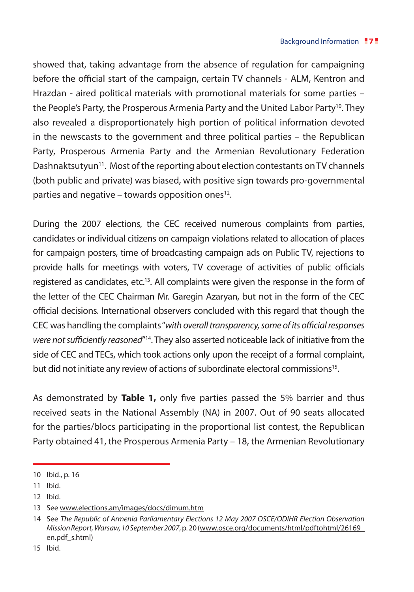showed that, taking advantage from the absence of regulation for campaigning before the official start of the campaign, certain TV channels - ALM, Kentron and Hrazdan - aired political materials with promotional materials for some parties – the People's Party, the Prosperous Armenia Party and the United Labor Party<sup>10</sup>. They also revealed a disproportionately high portion of political information devoted in the newscasts to the government and three political parties – the Republican Party, Prosperous Armenia Party and the Armenian Revolutionary Federation Dashnaktsutyun<sup>11</sup>. Most of the reporting about election contestants on TV channels (both public and private) was biased, with positive sign towards pro-governmental parties and negative – towards opposition ones<sup>12</sup>.

During the 2007 elections, the CEC received numerous complaints from parties, candidates or individual citizens on campaign violations related to allocation of places for campaign posters, time of broadcasting campaign ads on Public TV, rejections to provide halls for meetings with voters, TV coverage of activities of public officials registered as candidates, etc.13. All complaints were given the response in the form of the letter of the CEC Chairman Mr. Garegin Azaryan, but not in the form of the CEC official decisions. International observers concluded with this regard that though the CEC was handling the complaints "*with overall transparency, some of its official responses*  were not sufficiently reasoned<sup>"14</sup>. They also asserted noticeable lack of initiative from the side of CEC and TECs, which took actions only upon the receipt of a formal complaint, but did not initiate any review of actions of subordinate electoral commissions<sup>15</sup>.

As demonstrated by **Table 1,** only five parties passed the 5% barrier and thus received seats in the National Assembly (NA) in 2007. Out of 90 seats allocated for the parties/blocs participating in the proportional list contest, the Republican Party obtained 41, the Prosperous Armenia Party – 18, the Armenian Revolutionary

12 Ibid.

<sup>10</sup> Ibid., p. 16

<sup>11</sup> Ibid.

<sup>13</sup> See www.elections.am/images/docs/dimum.htm

<sup>14</sup> See *The Republic of Armenia Parliamentary Elections 12 May 2007 OSCE/ODIHR Election Observation Mission Report, Warsaw, 10 September 2007*, p. 20 (www.osce.org/documents/html/pdftohtml/26169\_ en.pdf\_s.html)

<sup>15</sup> Ibid.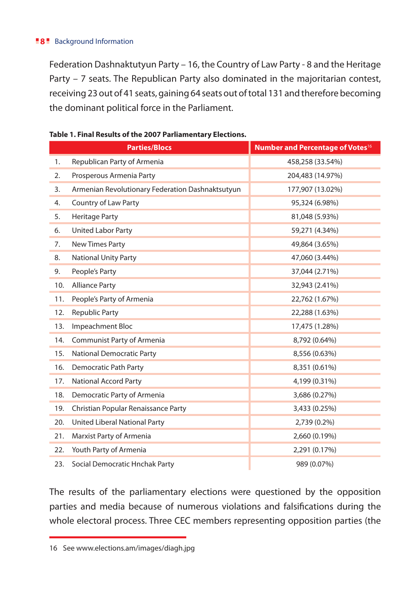Federation Dashnaktutyun Party – 16, the Country of Law Party - 8 and the Heritage Party – 7 seats. The Republican Party also dominated in the majoritarian contest, receiving 23 out of 41 seats, gaining 64 seats out of total 131 and therefore becoming the dominant political force in the Parliament.

|     | <b>Parties/Blocs</b>                             | Number and Percentage of Votes <sup>16</sup> |
|-----|--------------------------------------------------|----------------------------------------------|
| 1.  | Republican Party of Armenia                      | 458,258 (33.54%)                             |
| 2.  | Prosperous Armenia Party                         | 204,483 (14.97%)                             |
| 3.  | Armenian Revolutionary Federation Dashnaktsutyun | 177,907 (13.02%)                             |
| 4.  | Country of Law Party                             | 95,324 (6.98%)                               |
| 5.  | Heritage Party                                   | 81,048 (5.93%)                               |
| 6.  | <b>United Labor Party</b>                        | 59,271 (4.34%)                               |
| 7.  | New Times Party                                  | 49,864 (3.65%)                               |
| 8.  | <b>National Unity Party</b>                      | 47,060 (3.44%)                               |
| 9.  | People's Party                                   | 37,044 (2.71%)                               |
| 10. | <b>Alliance Party</b>                            | 32,943 (2.41%)                               |
| 11. | People's Party of Armenia                        | 22,762 (1.67%)                               |
| 12. | <b>Republic Party</b>                            | 22,288 (1.63%)                               |
| 13. | Impeachment Bloc                                 | 17,475 (1.28%)                               |
| 14. | Communist Party of Armenia                       | 8,792 (0.64%)                                |
| 15. | <b>National Democratic Party</b>                 | 8,556 (0.63%)                                |
| 16. | Democratic Path Party                            | 8,351 (0.61%)                                |
| 17. | <b>National Accord Party</b>                     | 4,199 (0.31%)                                |
| 18. | Democratic Party of Armenia                      | 3,686 (0.27%)                                |
| 19. | Christian Popular Renaissance Party              | 3,433 (0.25%)                                |
| 20. | United Liberal National Party                    | 2,739 (0.2%)                                 |
| 21. | Marxist Party of Armenia                         | 2,660 (0.19%)                                |
| 22. | Youth Party of Armenia                           | 2,291 (0.17%)                                |
| 23. | Social Democratic Hnchak Party                   | 989 (0.07%)                                  |

#### **Table 1. Final Results of the 2007 Parliamentary Elections.**

The results of the parliamentary elections were questioned by the opposition parties and media because of numerous violations and falsifications during the whole electoral process. Three CEC members representing opposition parties (the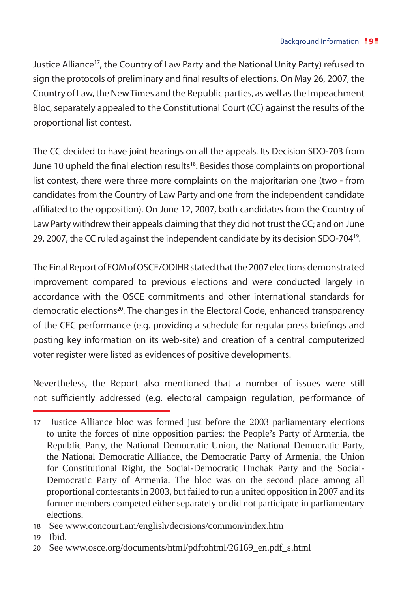Justice Alliance<sup>17</sup>, the Country of Law Party and the National Unity Party) refused to sign the protocols of preliminary and final results of elections. On May 26, 2007, the Country of Law, the New Times and the Republic parties, as well as the Impeachment Bloc, separately appealed to the Constitutional Court (CC) against the results of the proportional list contest.

The CC decided to have joint hearings on all the appeals. Its Decision SDO-703 from June 10 upheld the final election results<sup>18</sup>. Besides those complaints on proportional list contest, there were three more complaints on the majoritarian one (two - from candidates from the Country of Law Party and one from the independent candidate affiliated to the opposition). On June 12, 2007, both candidates from the Country of Law Party withdrew their appeals claiming that they did not trust the CC; and on June 29, 2007, the CC ruled against the independent candidate by its decision SDO-70419.

The Final Report of EOM of OSCE/ODIHR stated that the 2007 elections demonstrated improvement compared to previous elections and were conducted largely in accordance with the OSCE commitments and other international standards for democratic elections<sup>20</sup>. The changes in the Electoral Code, enhanced transparency of the CEC performance (e.g. providing a schedule for regular press briefings and posting key information on its web-site) and creation of a central computerized voter register were listed as evidences of positive developments.

Nevertheless, the Report also mentioned that a number of issues were still not sufficiently addressed (e.g. electoral campaign regulation, performance of

<sup>17</sup> Justice Alliance bloc was formed just before the 2003 parliamentary elections to unite the forces of nine opposition parties: the People's Party of Armenia, the Republic Party, the National Democratic Union, the National Democratic Party, the National Democratic Alliance, the Democratic Party of Armenia, the Union for Constitutional Right, the Social-Democratic Hnchak Party and the Social-Democratic Party of Armenia. The bloc was on the second place among all proportional contestants in 2003, but failed to run a united opposition in 2007 and its former members competed either separately or did not participate in parliamentary elections.

<sup>18</sup> See www.concourt.am/english/decisions/common/index.htm

<sup>19</sup> Ibid.

<sup>20</sup> See www.osce.org/documents/html/pdftohtml/26169\_en.pdf\_s.html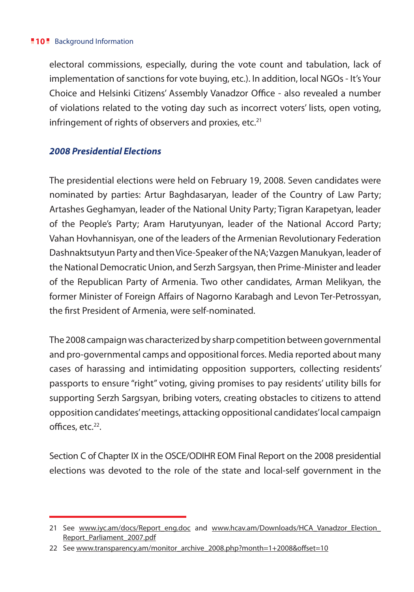electoral commissions, especially, during the vote count and tabulation, lack of implementation of sanctions for vote buying, etc.). In addition, local NGOs - It's Your Choice and Helsinki Citizens' Assembly Vanadzor Office - also revealed a number of violations related to the voting day such as incorrect voters' lists, open voting, infringement of rights of observers and proxies, etc. $21$ 

## *2008 Presidential Elections*

The presidential elections were held on February 19, 2008. Seven candidates were nominated by parties: Artur Baghdasaryan, leader of the Country of Law Party; Artashes Geghamyan, leader of the National Unity Party; Tigran Karapetyan, leader of the People's Party; Aram Harutyunyan, leader of the National Accord Party; Vahan Hovhannisyan, one of the leaders of the Armenian Revolutionary Federation Dashnaktsutyun Party and then Vice-Speaker of the NA; Vazgen Manukyan, leader of the National Democratic Union, and Serzh Sargsyan, then Prime-Minister and leader of the Republican Party of Armenia. Two other candidates, Arman Melikyan, the former Minister of Foreign Affairs of Nagorno Karabagh and Levon Ter-Petrossyan, the first President of Armenia, were self-nominated.

The 2008 campaign was characterized by sharp competition between governmental and pro-governmental camps and oppositional forces. Media reported about many cases of harassing and intimidating opposition supporters, collecting residents' passports to ensure "right" voting, giving promises to pay residents' utility bills for supporting Serzh Sargsyan, bribing voters, creating obstacles to citizens to attend opposition candidates' meetings, attacking oppositional candidates' local campaign offices, etc.22.

Section C of Chapter IX in the OSCE/ODIHR EOM Final Report on the 2008 presidential elections was devoted to the role of the state and local-self government in the

<sup>21</sup> See www.iyc.am/docs/Report\_eng.doc and www.hcav.am/Downloads/HCA\_Vanadzor\_Election\_ Report\_Parliament\_2007.pdf

<sup>22</sup> See www.transparency.am/monitor\_archive\_2008.php?month=1+2008&offset=10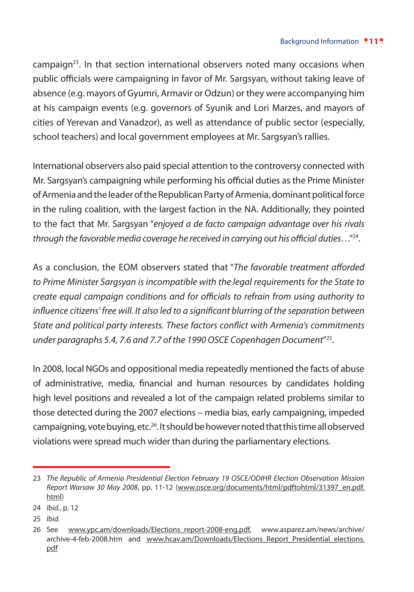campaign $23$ . In that section international observers noted many occasions when public officials were campaigning in favor of Mr. Sargsyan, without taking leave of absence (e.g. mayors of Gyumri, Armavir or Odzun) or they were accompanying him at his campaign events (e.g. governors of Syunik and Lori Marzes, and mayors of cities of Yerevan and Vanadzor), as well as attendance of public sector (especially, school teachers) and local government employees at Mr. Sargsyan's rallies.

International observers also paid special attention to the controversy connected with Mr. Sargsyan's campaigning while performing his official duties as the Prime Minister of Armenia and the leader of the Republican Party of Armenia, dominant political force in the ruling coalition, with the largest faction in the NA. Additionally, they pointed to the fact that Mr. Sargsyan "*enjoyed a de facto campaign advantage over his rivals through the favorable media coverage he received in carrying out his official duties*…"24.

As a conclusion, the EOM observers stated that "*The favorable treatment afforded to Prime Minister Sargsyan is incompatible with the legal requirements for the State to create equal campaign conditions and for officials to refrain from using authority to influence citizens' free will. It also led to a significant blurring of the separation between State and political party interests. These factors conflict with Armenia's commitments under paragraphs 5.4, 7.6 and 7.7 of the 1990 OSCE Copenhagen Document*"25.

In 2008, local NGOs and oppositional media repeatedly mentioned the facts of abuse of administrative, media, financial and human resources by candidates holding high level positions and revealed a lot of the campaign related problems similar to those detected during the 2007 elections – media bias, early campaigning, impeded campaigning, vote buying, etc.26.It should be however noted that this time all observed violations were spread much wider than during the parliamentary elections.

25 *Ibid.*

<sup>23</sup> *The Republic of Armenia Presidential Election February 19 OSCE/ODIHR Election Observation Mission Report Warsaw 30 May 2008*, pp. 11-12 (www.osce.org/documents/html/pdftohtml/31397\_en.pdf. html)

<sup>24</sup> *Ibid.*, p. 12

<sup>26</sup> See www.ypc.am/downloads/Elections\_report-2008-eng.pdf, www.asparez.am/news/archive/ archive-4-feb-2008.htm and www.hcav.am/Downloads/Elections Report Presidential elections. pdf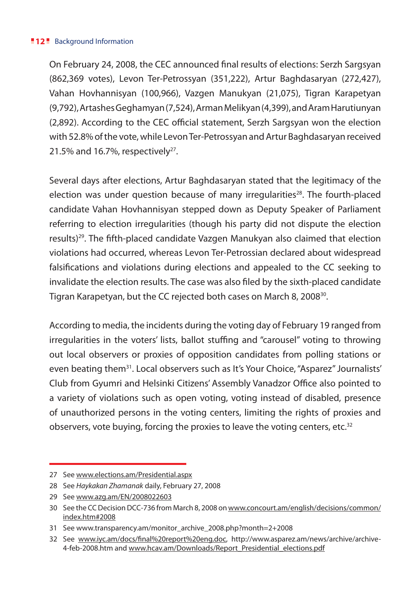On February 24, 2008, the CEC announced final results of elections: Serzh Sargsyan (862,369 votes), Levon Ter-Petrossyan (351,222), Artur Baghdasaryan (272,427), Vahan Hovhannisyan (100,966), Vazgen Manukyan (21,075), Tigran Karapetyan (9,792), Artashes Geghamyan (7,524), Arman Melikyan (4,399), and Aram Harutiunyan (2,892). According to the CEC official statement, Serzh Sargsyan won the election with 52.8% of the vote, while Levon Ter-Petrossyan and Artur Baghdasaryan received 21.5% and 16.7%, respectively $27$ .

Several days after elections, Artur Baghdasaryan stated that the legitimacy of the election was under question because of many irregularities<sup>28</sup>. The fourth-placed candidate Vahan Hovhannisyan stepped down as Deputy Speaker of Parliament referring to election irregularities (though his party did not dispute the election results)<sup>29</sup>. The fifth-placed candidate Vazgen Manukyan also claimed that election violations had occurred, whereas Levon Ter-Petrossian declared about widespread falsifications and violations during elections and appealed to the CC seeking to invalidate the election results. The case was also filed by the sixth-placed candidate Tigran Karapetyan, but the CC rejected both cases on March 8, 2008<sup>30</sup>.

According to media, the incidents during the voting day of February 19 ranged from irregularities in the voters' lists, ballot stuffing and "carousel" voting to throwing out local observers or proxies of opposition candidates from polling stations or even beating them<sup>31</sup>. Local observers such as It's Your Choice, "Asparez" Journalists' Club from Gyumri and Helsinki Citizens' Assembly Vanadzor Office also pointed to a variety of violations such as open voting, voting instead of disabled, presence of unauthorized persons in the voting centers, limiting the rights of proxies and observers, vote buying, forcing the proxies to leave the voting centers, etc.<sup>32</sup>

29 See www.azg.am/EN/2008022603

<sup>27</sup> See www.elections.am/Presidential.aspx

<sup>28</sup> See *Haykakan Zhamanak* daily, February 27, 2008

<sup>30</sup> See the CC Decision DCC-736 from March 8, 2008 on www.concourt.am/english/decisions/common/ index.htm#2008

<sup>31</sup> See www.transparency.am/monitor\_archive\_2008.php?month=2+2008

<sup>32</sup> See www.iyc.am/docs/final%20report%20eng.doc, http://www.asparez.am/news/archive/archive-4-feb-2008.htm and www.hcav.am/Downloads/Report\_Presidential\_elections.pdf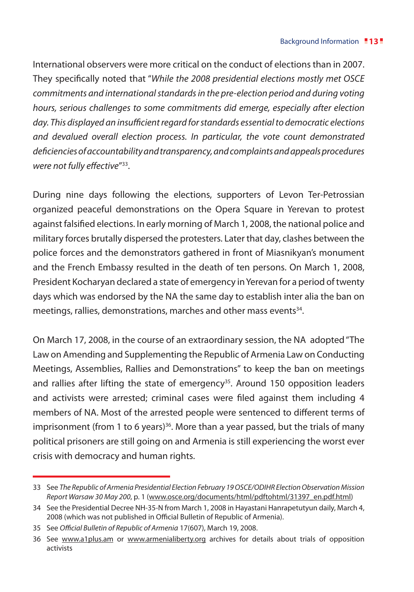International observers were more critical on the conduct of elections than in 2007. They specifically noted that "*While the 2008 presidential elections mostly met OSCE commitments and international standards in the pre-election period and during voting hours, serious challenges to some commitments did emerge, especially after election day. This displayed an insufficient regard for standards essential to democratic elections and devalued overall election process. In particular, the vote count demonstrated deficiencies of accountability and transparency, and complaints and appeals procedures were not fully effective*"33.

During nine days following the elections, supporters of Levon Ter-Petrossian organized peaceful demonstrations on the Opera Square in Yerevan to protest against falsified elections. In early morning of March 1, 2008, the national police and military forces brutally dispersed the protesters. Later that day, clashes between the police forces and the demonstrators gathered in front of Miasnikyan's monument and the French Embassy resulted in the death of ten persons. On March 1, 2008, President Kocharyan declared a state of emergency in Yerevan for a period of twenty days which was endorsed by the NA the same day to establish inter alia the ban on meetings, rallies, demonstrations, marches and other mass events<sup>34</sup>.

On March 17, 2008, in the course of an extraordinary session, the NA adopted "The Law on Amending and Supplementing the Republic of Armenia Law on Conducting Meetings, Assemblies, Rallies and Demonstrations" to keep the ban on meetings and rallies after lifting the state of emergency<sup>35</sup>. Around 150 opposition leaders and activists were arrested; criminal cases were filed against them including 4 members of NA. Most of the arrested people were sentenced to different terms of imprisonment (from 1 to 6 years)<sup>36</sup>. More than a year passed, but the trials of many political prisoners are still going on and Armenia is still experiencing the worst ever crisis with democracy and human rights.

<sup>33</sup> See *The Republic of Armenia Presidential Election February 19 OSCE/ODIHR Election Observation Mission Report Warsaw 30 May 200*, p. 1 (www.osce.org/documents/html/pdftohtml/31397\_en.pdf.html)

<sup>34</sup> See the Presidential Decree NH-35-N from March 1, 2008 in Hayastani Hanrapetutyun daily, March 4, 2008 (which was not published in Official Bulletin of Republic of Armenia).

<sup>35</sup> See *Official Bulletin of Republic of Armenia* 17(607), March 19, 2008.

<sup>36</sup> See www.a1plus.am or www.armenialiberty.org archives for details about trials of opposition activists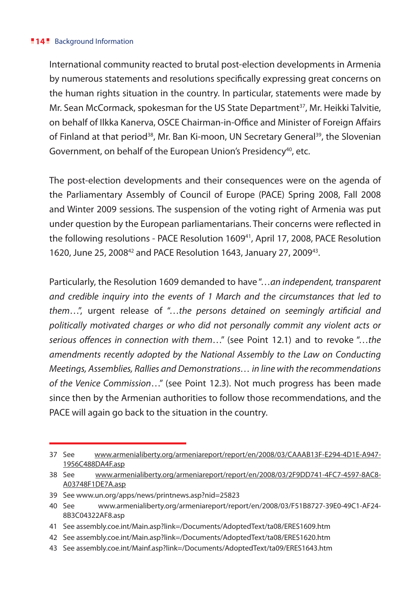#### **14** Background Information

International community reacted to brutal post-election developments in Armenia by numerous statements and resolutions specifically expressing great concerns on the human rights situation in the country. In particular, statements were made by Mr. Sean McCormack, spokesman for the US State Department<sup>37</sup>, Mr. Heikki Talvitie, on behalf of Ilkka Kanerva, OSCE Chairman-in-Office and Minister of Foreign Affairs of Finland at that period<sup>38</sup>, Mr. Ban Ki-moon, UN Secretary General<sup>39</sup>, the Slovenian Government, on behalf of the European Union's Presidency<sup>40</sup>, etc.

The post-election developments and their consequences were on the agenda of the Parliamentary Assembly of Council of Europe (PACE) Spring 2008, Fall 2008 and Winter 2009 sessions. The suspension of the voting right of Armenia was put under question by the European parliamentarians. Their concerns were reflected in the following resolutions - PACE Resolution 1609<sup>41</sup>, April 17, 2008, PACE Resolution 1620, June 25, 200842 and PACE Resolution 1643, January 27, 200943.

Particularly, the Resolution 1609 demanded to have "…*an independent, transparent and credible inquiry into the events of 1 March and the circumstances that led to them*…", urgent release of "…*the persons detained on seemingly artificial and politically motivated charges or who did not personally commit any violent acts or serious offences in connection with them*…" (see Point 12.1) and to revoke "…*the amendments recently adopted by the National Assembly to the Law on Conducting Meetings, Assemblies, Rallies and Demonstrations… in line with the recommendations of the Venice Commission*…" (see Point 12.3). Not much progress has been made since then by the Armenian authorities to follow those recommendations, and the PACE will again go back to the situation in the country.

43 See assembly.coe.int/Mainf.asp?link=/Documents/AdoptedText/ta09/ERES1643.htm

<sup>37</sup> See www.armenialiberty.org/armeniareport/report/en/2008/03/CAAAB13F-E294-4D1E-A947- 1956C488DA4F.asp

<sup>38</sup> See www.armenialiberty.org/armeniareport/report/en/2008/03/2F9DD741-4FC7-4597-8AC8- A03748F1DE7A.asp

<sup>39</sup> See www.un.org/apps/news/printnews.asp?nid=25823

<sup>40</sup> See www.armenialiberty.org/armeniareport/report/en/2008/03/F51B8727-39E0-49C1-AF24- 8B3C04322AF8.asp

<sup>41</sup> See assembly.coe.int/Main.asp?link=/Documents/AdoptedText/ta08/ERES1609.htm

<sup>42</sup> See assembly.coe.int/Main.asp?link=/Documents/AdoptedText/ta08/ERES1620.htm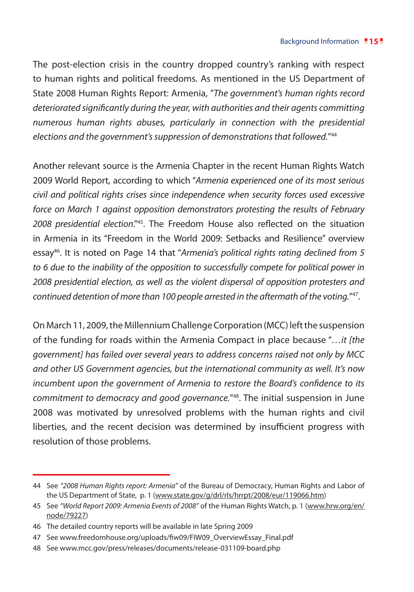The post-election crisis in the country dropped country's ranking with respect to human rights and political freedoms. As mentioned in the US Department of State 2008 Human Rights Report: Armenia, "*The government's human rights record deteriorated significantly during the year, with authorities and their agents committing numerous human rights abuses, particularly in connection with the presidential elections and the government's suppression of demonstrations that followed.*"44

Another relevant source is the Armenia Chapter in the recent Human Rights Watch 2009 World Report, according to which "*Armenia experienced one of its most serious civil and political rights crises since independence when security forces used excessive force on March 1 against opposition demonstrators protesting the results of February 2008 presidential election*."45. The Freedom House also reflected on the situation in Armenia in its "Freedom in the World 2009: Setbacks and Resilience" overview essay46. It is noted on Page 14 that "*Armenia's political rights rating declined from 5 to 6 due to the inability of the opposition to successfully compete for political power in 2008 presidential election, as well as the violent dispersal of opposition protesters and continued detention of more than 100 people arrested in the aftermath of the voting.*"47.

On March 11, 2009, the Millennium Challenge Corporation (MCC) left the suspension of the funding for roads within the Armenia Compact in place because "*…it [the government] has failed over several years to address concerns raised not only by MCC and other US Government agencies, but the international community as well. It's now incumbent upon the government of Armenia to restore the Board's confidence to its commitment to democracy and good governance.*"48. The initial suspension in June 2008 was motivated by unresolved problems with the human rights and civil liberties, and the recent decision was determined by insufficient progress with resolution of those problems.

<sup>44</sup> See *"2008 Human Rights report: Armenia"* of the Bureau of Democracy, Human Rights and Labor of the US Department of State, p. 1 (www.state.gov/g/drl/rls/hrrpt/2008/eur/119066.htm)

<sup>45</sup> See *"World Report 2009: Armenia Events of 2008"* of the Human Rights Watch, p. 1 (www.hrw.org/en/ node/79227)

<sup>46</sup> The detailed country reports will be available in late Spring 2009

<sup>47</sup> See www.freedomhouse.org/uploads/fiw09/FIW09\_OverviewEssay\_Final.pdf

<sup>48</sup> See www.mcc.gov/press/releases/documents/release-031109-board.php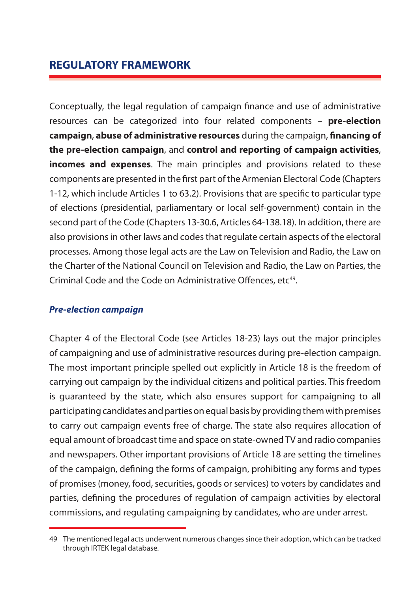Conceptually, the legal regulation of campaign finance and use of administrative resources can be categorized into four related components – **pre-election campaign**, **abuse of administrative resources** during the campaign, **financing of the pre-election campaign**, and **control and reporting of campaign activities**, **incomes and expenses**. The main principles and provisions related to these components are presented in the first part of the Armenian Electoral Code (Chapters 1-12, which include Articles 1 to 63.2). Provisions that are specific to particular type of elections (presidential, parliamentary or local self-government) contain in the second part of the Code (Chapters 13-30.6, Articles 64-138.18). In addition, there are also provisions in other laws and codes that regulate certain aspects of the electoral processes. Among those legal acts are the Law on Television and Radio, the Law on the Charter of the National Council on Television and Radio, the Law on Parties, the Criminal Code and the Code on Administrative Offences. etc<sup>49</sup>.

#### *Pre-election campaign*

Chapter 4 of the Electoral Code (see Articles 18-23) lays out the major principles of campaigning and use of administrative resources during pre-election campaign. The most important principle spelled out explicitly in Article 18 is the freedom of carrying out campaign by the individual citizens and political parties. This freedom is guaranteed by the state, which also ensures support for campaigning to all participating candidates and parties on equal basis by providing them with premises to carry out campaign events free of charge. The state also requires allocation of equal amount of broadcast time and space on state-owned TV and radio companies and newspapers. Other important provisions of Article 18 are setting the timelines of the campaign, defining the forms of campaign, prohibiting any forms and types of promises (money, food, securities, goods or services) to voters by candidates and parties, defining the procedures of regulation of campaign activities by electoral commissions, and regulating campaigning by candidates, who are under arrest.

<sup>49</sup> The mentioned legal acts underwent numerous changes since their adoption, which can be tracked through IRTEK legal database.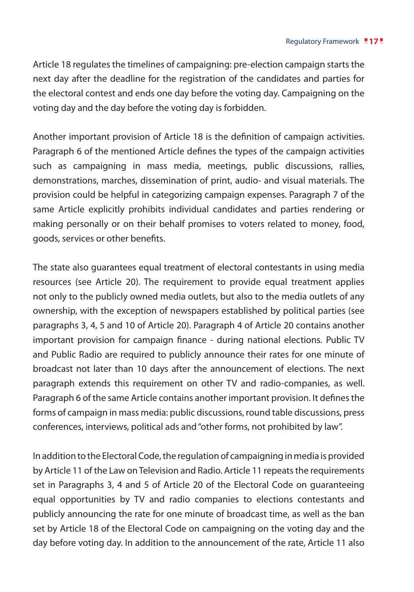Article 18 regulates the timelines of campaigning: pre-election campaign starts the next day after the deadline for the registration of the candidates and parties for the electoral contest and ends one day before the voting day. Campaigning on the voting day and the day before the voting day is forbidden.

Another important provision of Article 18 is the definition of campaign activities. Paragraph 6 of the mentioned Article defines the types of the campaign activities such as campaigning in mass media, meetings, public discussions, rallies, demonstrations, marches, dissemination of print, audio- and visual materials. The provision could be helpful in categorizing campaign expenses. Paragraph 7 of the same Article explicitly prohibits individual candidates and parties rendering or making personally or on their behalf promises to voters related to money, food, goods, services or other benefits.

The state also guarantees equal treatment of electoral contestants in using media resources (see Article 20). The requirement to provide equal treatment applies not only to the publicly owned media outlets, but also to the media outlets of any ownership, with the exception of newspapers established by political parties (see paragraphs 3, 4, 5 and 10 of Article 20). Paragraph 4 of Article 20 contains another important provision for campaign finance - during national elections. Public TV and Public Radio are required to publicly announce their rates for one minute of broadcast not later than 10 days after the announcement of elections. The next paragraph extends this requirement on other TV and radio-companies, as well. Paragraph 6 of the same Article contains another important provision. It defines the forms of campaign in mass media: public discussions, round table discussions, press conferences, interviews, political ads and "other forms, not prohibited by law".

In addition to the Electoral Code, the regulation of campaigning in media is provided by Article 11 of the Law on Television and Radio. Article 11 repeats the requirements set in Paragraphs 3, 4 and 5 of Article 20 of the Electoral Code on guaranteeing equal opportunities by TV and radio companies to elections contestants and publicly announcing the rate for one minute of broadcast time, as well as the ban set by Article 18 of the Electoral Code on campaigning on the voting day and the day before voting day. In addition to the announcement of the rate, Article 11 also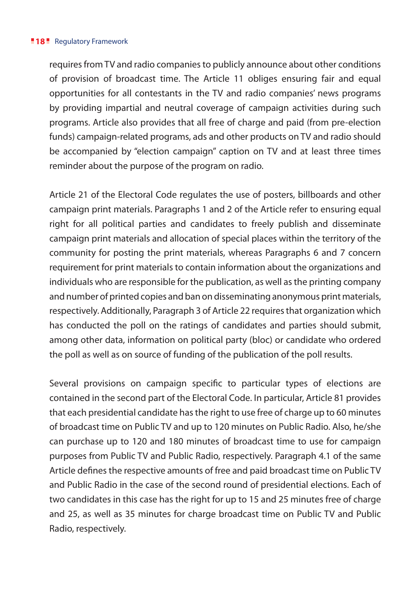#### **18** Regulatory Framework

requires from TV and radio companies to publicly announce about other conditions of provision of broadcast time. The Article 11 obliges ensuring fair and equal opportunities for all contestants in the TV and radio companies' news programs by providing impartial and neutral coverage of campaign activities during such programs. Article also provides that all free of charge and paid (from pre-election funds) campaign-related programs, ads and other products on TV and radio should be accompanied by "election campaign" caption on TV and at least three times reminder about the purpose of the program on radio.

Article 21 of the Electoral Code regulates the use of posters, billboards and other campaign print materials. Paragraphs 1 and 2 of the Article refer to ensuring equal right for all political parties and candidates to freely publish and disseminate campaign print materials and allocation of special places within the territory of the community for posting the print materials, whereas Paragraphs 6 and 7 concern requirement for print materials to contain information about the organizations and individuals who are responsible for the publication, as well as the printing company and number of printed copies and ban on disseminating anonymous print materials, respectively. Additionally, Paragraph 3 of Article 22 requires that organization which has conducted the poll on the ratings of candidates and parties should submit, among other data, information on political party (bloc) or candidate who ordered the poll as well as on source of funding of the publication of the poll results.

Several provisions on campaign specific to particular types of elections are contained in the second part of the Electoral Code. In particular, Article 81 provides that each presidential candidate has the right to use free of charge up to 60 minutes of broadcast time on Public TV and up to 120 minutes on Public Radio. Also, he/she can purchase up to 120 and 180 minutes of broadcast time to use for campaign purposes from Public TV and Public Radio, respectively. Paragraph 4.1 of the same Article defines the respective amounts of free and paid broadcast time on Public TV and Public Radio in the case of the second round of presidential elections. Each of two candidates in this case has the right for up to 15 and 25 minutes free of charge and 25, as well as 35 minutes for charge broadcast time on Public TV and Public Radio, respectively.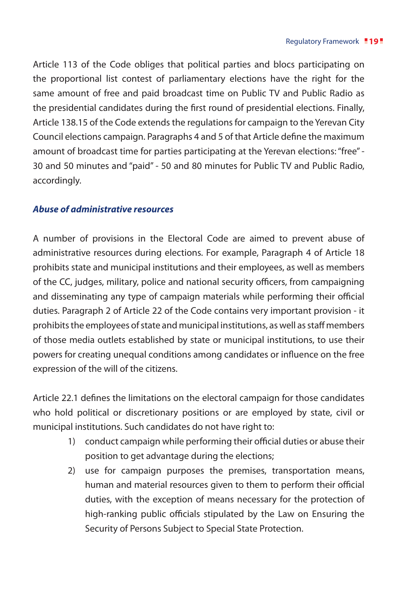Article 113 of the Code obliges that political parties and blocs participating on the proportional list contest of parliamentary elections have the right for the same amount of free and paid broadcast time on Public TV and Public Radio as the presidential candidates during the first round of presidential elections. Finally, Article 138.15 of the Code extends the regulations for campaign to the Yerevan City Council elections campaign. Paragraphs 4 and 5 of that Article define the maximum amount of broadcast time for parties participating at the Yerevan elections: "free" - 30 and 50 minutes and "paid" - 50 and 80 minutes for Public TV and Public Radio, accordingly.

#### *Abuse of administrative resources*

A number of provisions in the Electoral Code are aimed to prevent abuse of administrative resources during elections. For example, Paragraph 4 of Article 18 prohibits state and municipal institutions and their employees, as well as members of the CC, judges, military, police and national security officers, from campaigning and disseminating any type of campaign materials while performing their official duties. Paragraph 2 of Article 22 of the Code contains very important provision - it prohibits the employees of state and municipal institutions, as well as staff members of those media outlets established by state or municipal institutions, to use their powers for creating unequal conditions among candidates or influence on the free expression of the will of the citizens.

Article 22.1 defines the limitations on the electoral campaign for those candidates who hold political or discretionary positions or are employed by state, civil or municipal institutions. Such candidates do not have right to:

- 1) conduct campaign while performing their official duties or abuse their position to get advantage during the elections;
- 2) use for campaign purposes the premises, transportation means, human and material resources given to them to perform their official duties, with the exception of means necessary for the protection of high-ranking public officials stipulated by the Law on Ensuring the Security of Persons Subject to Special State Protection.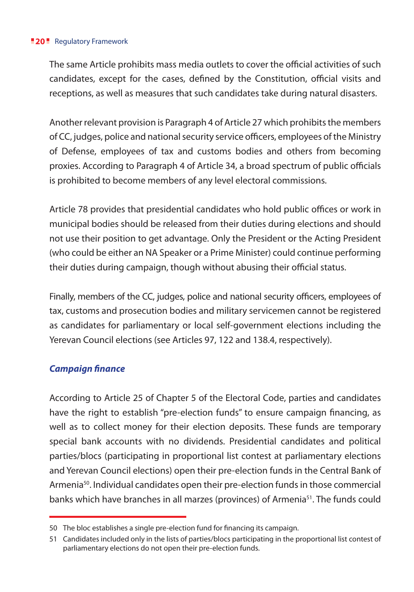#### **20** Regulatory Framework

The same Article prohibits mass media outlets to cover the official activities of such candidates, except for the cases, defined by the Constitution, official visits and receptions, as well as measures that such candidates take during natural disasters.

Another relevant provision is Paragraph 4 of Article 27 which prohibits the members of CC, judges, police and national security service officers, employees of the Ministry of Defense, employees of tax and customs bodies and others from becoming proxies. According to Paragraph 4 of Article 34, a broad spectrum of public officials is prohibited to become members of any level electoral commissions.

Article 78 provides that presidential candidates who hold public offices or work in municipal bodies should be released from their duties during elections and should not use their position to get advantage. Only the President or the Acting President (who could be either an NA Speaker or a Prime Minister) could continue performing their duties during campaign, though without abusing their official status.

Finally, members of the CC, judges, police and national security officers, employees of tax, customs and prosecution bodies and military servicemen cannot be registered as candidates for parliamentary or local self-government elections including the Yerevan Council elections (see Articles 97, 122 and 138.4, respectively).

#### *Campaign finance*

According to Article 25 of Chapter 5 of the Electoral Code, parties and candidates have the right to establish "pre-election funds" to ensure campaign financing, as well as to collect money for their election deposits. These funds are temporary special bank accounts with no dividends. Presidential candidates and political parties/blocs (participating in proportional list contest at parliamentary elections and Yerevan Council elections) open their pre-election funds in the Central Bank of Armenia<sup>50</sup>. Individual candidates open their pre-election funds in those commercial banks which have branches in all marzes (provinces) of Armenia<sup>51</sup>. The funds could

<sup>50</sup> The bloc establishes a single pre-election fund for financing its campaign.

<sup>51</sup> Candidates included only in the lists of parties/blocs participating in the proportional list contest of parliamentary elections do not open their pre-election funds.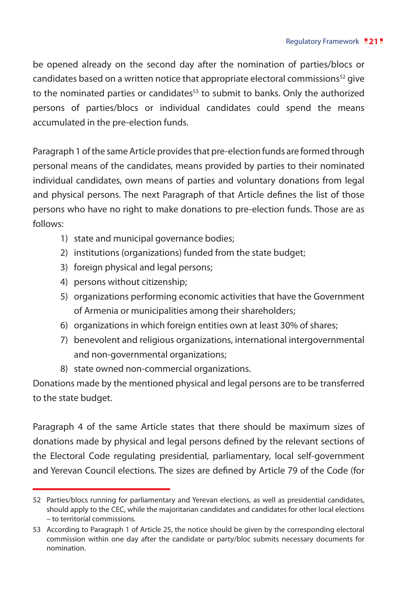be opened already on the second day after the nomination of parties/blocs or candidates based on a written notice that appropriate electoral commissions $52$  give to the nominated parties or candidates<sup>53</sup> to submit to banks. Only the authorized persons of parties/blocs or individual candidates could spend the means accumulated in the pre-election funds.

Paragraph 1 of the same Article provides that pre-election funds are formed through personal means of the candidates, means provided by parties to their nominated individual candidates, own means of parties and voluntary donations from legal and physical persons. The next Paragraph of that Article defines the list of those persons who have no right to make donations to pre-election funds. Those are as follows:

- 1) state and municipal governance bodies;
- 2) institutions (organizations) funded from the state budget;
- 3) foreign physical and legal persons;
- 4) persons without citizenship;
- 5) organizations performing economic activities that have the Government of Armenia or municipalities among their shareholders;
- 6) organizations in which foreign entities own at least 30% of shares;
- 7) benevolent and religious organizations, international intergovernmental and non-governmental organizations;
- 8) state owned non-commercial organizations.

Donations made by the mentioned physical and legal persons are to be transferred to the state budget.

Paragraph 4 of the same Article states that there should be maximum sizes of donations made by physical and legal persons defined by the relevant sections of the Electoral Code regulating presidential, parliamentary, local self-government and Yerevan Council elections. The sizes are defined by Article 79 of the Code (for

<sup>52</sup> Parties/blocs running for parliamentary and Yerevan elections, as well as presidential candidates, should apply to the CEC, while the majoritarian candidates and candidates for other local elections – to territorial commissions.

<sup>53</sup> According to Paragraph 1 of Article 25, the notice should be given by the corresponding electoral commission within one day after the candidate or party/bloc submits necessary documents for nomination.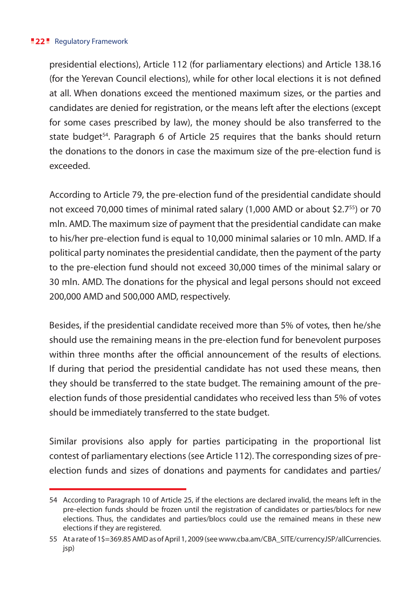#### **22** Regulatory Framework

presidential elections), Article 112 (for parliamentary elections) and Article 138.16 (for the Yerevan Council elections), while for other local elections it is not defined at all. When donations exceed the mentioned maximum sizes, or the parties and candidates are denied for registration, or the means left after the elections (except for some cases prescribed by law), the money should be also transferred to the state budget<sup>54</sup>. Paragraph 6 of Article 25 requires that the banks should return the donations to the donors in case the maximum size of the pre-election fund is exceeded.

According to Article 79, the pre-election fund of the presidential candidate should not exceed 70,000 times of minimal rated salary (1,000 AMD or about \$2.755) or 70 mln. AMD. The maximum size of payment that the presidential candidate can make to his/her pre-election fund is equal to 10,000 minimal salaries or 10 mln. AMD. If a political party nominates the presidential candidate, then the payment of the party to the pre-election fund should not exceed 30,000 times of the minimal salary or 30 mln. AMD. The donations for the physical and legal persons should not exceed 200,000 AMD and 500,000 AMD, respectively.

Besides, if the presidential candidate received more than 5% of votes, then he/she should use the remaining means in the pre-election fund for benevolent purposes within three months after the official announcement of the results of elections. If during that period the presidential candidate has not used these means, then they should be transferred to the state budget. The remaining amount of the preelection funds of those presidential candidates who received less than 5% of votes should be immediately transferred to the state budget.

Similar provisions also apply for parties participating in the proportional list contest of parliamentary elections (see Article 112). The corresponding sizes of preelection funds and sizes of donations and payments for candidates and parties/

<sup>54</sup> According to Paragraph 10 of Article 25, if the elections are declared invalid, the means left in the pre-election funds should be frozen until the registration of candidates or parties/blocs for new elections. Thus, the candidates and parties/blocs could use the remained means in these new elections if they are registered.

<sup>55</sup> At a rate of 1\$=369.85 AMD as of April 1, 2009 (see www.cba.am/CBA\_SITE/currencyJSP/allCurrencies. jsp)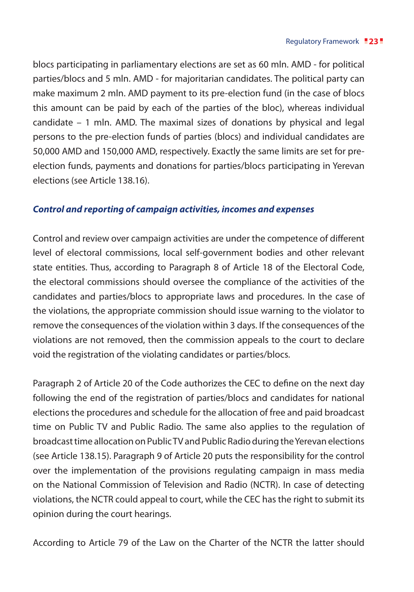blocs participating in parliamentary elections are set as 60 mln. AMD - for political parties/blocs and 5 mln. AMD - for majoritarian candidates. The political party can make maximum 2 mln. AMD payment to its pre-election fund (in the case of blocs this amount can be paid by each of the parties of the bloc), whereas individual candidate – 1 mln. AMD. The maximal sizes of donations by physical and legal persons to the pre-election funds of parties (blocs) and individual candidates are 50,000 AMD and 150,000 AMD, respectively. Exactly the same limits are set for preelection funds, payments and donations for parties/blocs participating in Yerevan elections (see Article 138.16).

#### *Control and reporting of campaign activities, incomes and expenses*

Control and review over campaign activities are under the competence of different level of electoral commissions, local self-government bodies and other relevant state entities. Thus, according to Paragraph 8 of Article 18 of the Electoral Code, the electoral commissions should oversee the compliance of the activities of the candidates and parties/blocs to appropriate laws and procedures. In the case of the violations, the appropriate commission should issue warning to the violator to remove the consequences of the violation within 3 days. If the consequences of the violations are not removed, then the commission appeals to the court to declare void the registration of the violating candidates or parties/blocs.

Paragraph 2 of Article 20 of the Code authorizes the CEC to define on the next day following the end of the registration of parties/blocs and candidates for national elections the procedures and schedule for the allocation of free and paid broadcast time on Public TV and Public Radio. The same also applies to the regulation of broadcast time allocation on Public TV and Public Radio during the Yerevan elections (see Article 138.15). Paragraph 9 of Article 20 puts the responsibility for the control over the implementation of the provisions regulating campaign in mass media on the National Commission of Television and Radio (NCTR). In case of detecting violations, the NCTR could appeal to court, while the CEC has the right to submit its opinion during the court hearings.

According to Article 79 of the Law on the Charter of the NCTR the latter should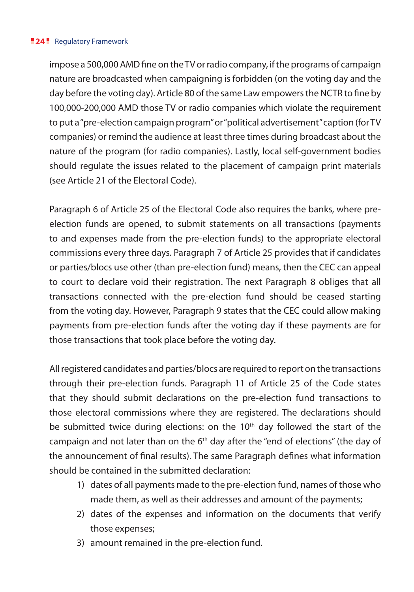#### **24** Regulatory Framework

impose a 500,000 AMD fine on the TV or radio company, if the programs of campaign nature are broadcasted when campaigning is forbidden (on the voting day and the day before the voting day). Article 80 of the same Law empowers the NCTR to fine by 100,000-200,000 AMD those TV or radio companies which violate the requirement to put a "pre-election campaign program" or "political advertisement" caption (for TV companies) or remind the audience at least three times during broadcast about the nature of the program (for radio companies). Lastly, local self-government bodies should regulate the issues related to the placement of campaign print materials (see Article 21 of the Electoral Code).

Paragraph 6 of Article 25 of the Electoral Code also requires the banks, where preelection funds are opened, to submit statements on all transactions (payments to and expenses made from the pre-election funds) to the appropriate electoral commissions every three days. Paragraph 7 of Article 25 provides that if candidates or parties/blocs use other (than pre-election fund) means, then the CEC can appeal to court to declare void their registration. The next Paragraph 8 obliges that all transactions connected with the pre-election fund should be ceased starting from the voting day. However, Paragraph 9 states that the CEC could allow making payments from pre-election funds after the voting day if these payments are for those transactions that took place before the voting day.

All registered candidates and parties/blocs are required to report on the transactions through their pre-election funds. Paragraph 11 of Article 25 of the Code states that they should submit declarations on the pre-election fund transactions to those electoral commissions where they are registered. The declarations should be submitted twice during elections: on the  $10<sup>th</sup>$  day followed the start of the campaign and not later than on the  $6<sup>th</sup>$  day after the "end of elections" (the day of the announcement of final results). The same Paragraph defines what information should be contained in the submitted declaration:

- 1) dates of all payments made to the pre-election fund, names of those who made them, as well as their addresses and amount of the payments;
- 2) dates of the expenses and information on the documents that verify those expenses;
- 3) amount remained in the pre-election fund.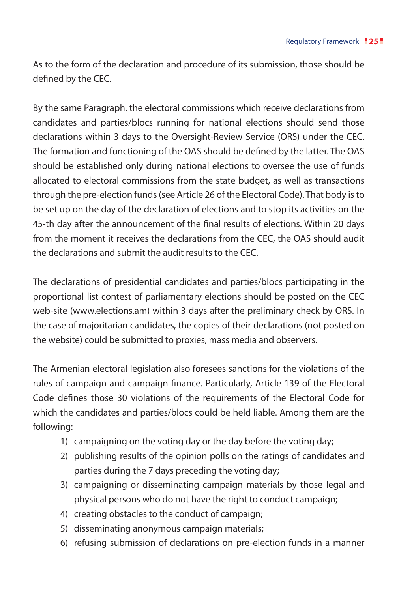As to the form of the declaration and procedure of its submission, those should be defined by the CEC.

By the same Paragraph, the electoral commissions which receive declarations from candidates and parties/blocs running for national elections should send those declarations within 3 days to the Oversight-Review Service (ORS) under the CEC. The formation and functioning of the OAS should be defined by the latter. The OAS should be established only during national elections to oversee the use of funds allocated to electoral commissions from the state budget, as well as transactions through the pre-election funds (see Article 26 of the Electoral Code). That body is to be set up on the day of the declaration of elections and to stop its activities on the 45-th day after the announcement of the final results of elections. Within 20 days from the moment it receives the declarations from the CEC, the OAS should audit the declarations and submit the audit results to the CEC.

The declarations of presidential candidates and parties/blocs participating in the proportional list contest of parliamentary elections should be posted on the CEC web-site (www.elections.am) within 3 days after the preliminary check by ORS. In the case of majoritarian candidates, the copies of their declarations (not posted on the website) could be submitted to proxies, mass media and observers.

The Armenian electoral legislation also foresees sanctions for the violations of the rules of campaign and campaign finance. Particularly, Article 139 of the Electoral Code defines those 30 violations of the requirements of the Electoral Code for which the candidates and parties/blocs could be held liable. Among them are the following:

- 1) campaigning on the voting day or the day before the voting day;
- 2) publishing results of the opinion polls on the ratings of candidates and parties during the 7 days preceding the voting day;
- 3) campaigning or disseminating campaign materials by those legal and physical persons who do not have the right to conduct campaign;
- 4) creating obstacles to the conduct of campaign;
- 5) disseminating anonymous campaign materials;
- 6) refusing submission of declarations on pre-election funds in a manner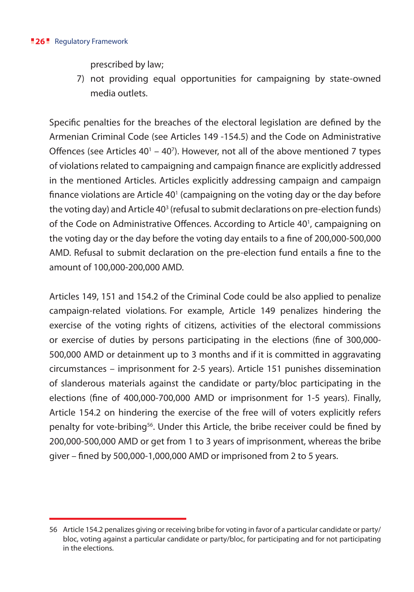#### **26** Regulatory Framework

prescribed by law;

7) not providing equal opportunities for campaigning by state-owned media outlets.

Specific penalties for the breaches of the electoral legislation are defined by the Armenian Criminal Code (see Articles 149 -154.5) and the Code on Administrative Offences (see Articles  $40^1 - 40^7$ ). However, not all of the above mentioned 7 types of violations related to campaigning and campaign finance are explicitly addressed in the mentioned Articles. Articles explicitly addressing campaign and campaign finance violations are Article  $40<sup>1</sup>$  (campaigning on the voting day or the day before the voting day) and Article 40<sup>3</sup> (refusal to submit declarations on pre-election funds) of the Code on Administrative Offences. According to Article 40<sup>1</sup>, campaigning on the voting day or the day before the voting day entails to a fine of 200,000-500,000 AMD. Refusal to submit declaration on the pre-election fund entails a fine to the amount of 100,000-200,000 AMD.

Articles 149, 151 and 154.2 of the Criminal Code could be also applied to penalize campaign-related violations. For example, Article 149 penalizes hindering the exercise of the voting rights of citizens, activities of the electoral commissions or exercise of duties by persons participating in the elections (fine of 300,000- 500,000 AMD or detainment up to 3 months and if it is committed in aggravating circumstances – imprisonment for 2-5 years). Article 151 punishes dissemination of slanderous materials against the candidate or party/bloc participating in the elections (fine of 400,000-700,000 AMD or imprisonment for 1-5 years). Finally, Article 154.2 on hindering the exercise of the free will of voters explicitly refers penalty for vote-bribing56. Under this Article, the bribe receiver could be fined by 200,000-500,000 AMD or get from 1 to 3 years of imprisonment, whereas the bribe giver – fined by 500,000-1,000,000 AMD or imprisoned from 2 to 5 years.

<sup>56</sup> Article 154.2 penalizes giving or receiving bribe for voting in favor of a particular candidate or party/ bloc, voting against a particular candidate or party/bloc, for participating and for not participating in the elections.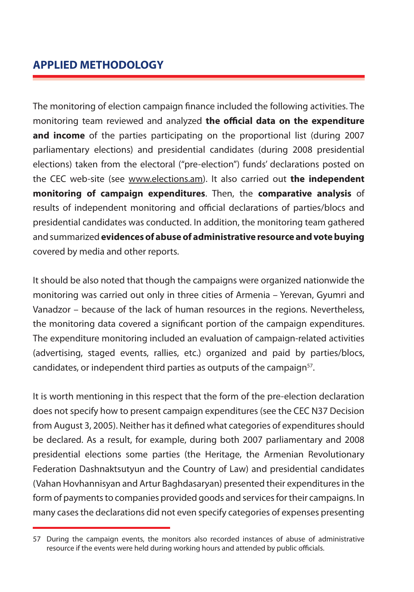# **APPLIED METHODOLOGY**

The monitoring of election campaign finance included the following activities. The monitoring team reviewed and analyzed **the official data on the expenditure and income** of the parties participating on the proportional list (during 2007 parliamentary elections) and presidential candidates (during 2008 presidential elections) taken from the electoral ("pre-election") funds' declarations posted on the CEC web-site (see www.elections.am). It also carried out **the independent monitoring of campaign expenditures**. Then, the **comparative analysis** of results of independent monitoring and official declarations of parties/blocs and presidential candidates was conducted. In addition, the monitoring team gathered and summarized **evidences of abuse of administrative resource and vote buying** covered by media and other reports.

It should be also noted that though the campaigns were organized nationwide the monitoring was carried out only in three cities of Armenia – Yerevan, Gyumri and Vanadzor – because of the lack of human resources in the regions. Nevertheless, the monitoring data covered a significant portion of the campaign expenditures. The expenditure monitoring included an evaluation of campaign-related activities (advertising, staged events, rallies, etc.) organized and paid by parties/blocs, candidates, or independent third parties as outputs of the campaign<sup>57</sup>.

It is worth mentioning in this respect that the form of the pre-election declaration does not specify how to present campaign expenditures (see the CEC N37 Decision from August 3, 2005). Neither has it defined what categories of expenditures should be declared. As a result, for example, during both 2007 parliamentary and 2008 presidential elections some parties (the Heritage, the Armenian Revolutionary Federation Dashnaktsutyun and the Country of Law) and presidential candidates (Vahan Hovhannisyan and Artur Baghdasaryan) presented their expenditures in the form of payments to companies provided goods and services for their campaigns. In many cases the declarations did not even specify categories of expenses presenting

<sup>57</sup> During the campaign events, the monitors also recorded instances of abuse of administrative resource if the events were held during working hours and attended by public officials.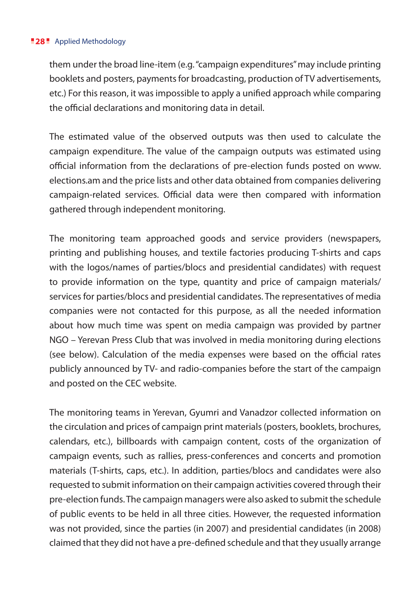#### **28** Applied Methodology

them under the broad line-item (e.g. "campaign expenditures" may include printing booklets and posters, payments for broadcasting, production of TV advertisements, etc.) For this reason, it was impossible to apply a unified approach while comparing the official declarations and monitoring data in detail.

The estimated value of the observed outputs was then used to calculate the campaign expenditure. The value of the campaign outputs was estimated using official information from the declarations of pre-election funds posted on www. elections.am and the price lists and other data obtained from companies delivering campaign-related services. Official data were then compared with information gathered through independent monitoring.

The monitoring team approached goods and service providers (newspapers, printing and publishing houses, and textile factories producing T-shirts and caps with the logos/names of parties/blocs and presidential candidates) with request to provide information on the type, quantity and price of campaign materials/ services for parties/blocs and presidential candidates. The representatives of media companies were not contacted for this purpose, as all the needed information about how much time was spent on media campaign was provided by partner NGO – Yerevan Press Club that was involved in media monitoring during elections (see below). Calculation of the media expenses were based on the official rates publicly announced by TV- and radio-companies before the start of the campaign and posted on the CEC website.

The monitoring teams in Yerevan, Gyumri and Vanadzor collected information on the circulation and prices of campaign print materials (posters, booklets, brochures, calendars, etc.), billboards with campaign content, costs of the organization of campaign events, such as rallies, press-conferences and concerts and promotion materials (T-shirts, caps, etc.). In addition, parties/blocs and candidates were also requested to submit information on their campaign activities covered through their pre-election funds. The campaign managers were also asked to submit the schedule of public events to be held in all three cities. However, the requested information was not provided, since the parties (in 2007) and presidential candidates (in 2008) claimed that they did not have a pre-defined schedule and that they usually arrange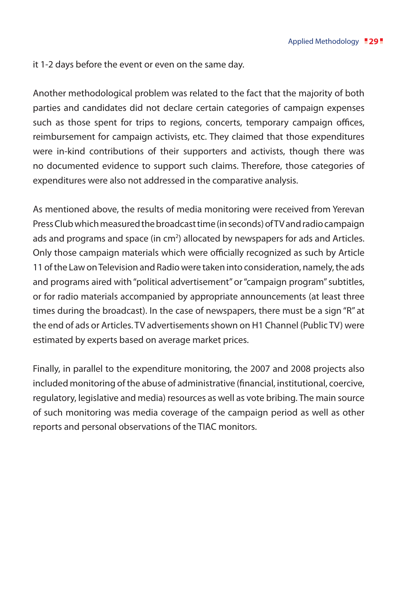it 1-2 days before the event or even on the same day.

Another methodological problem was related to the fact that the majority of both parties and candidates did not declare certain categories of campaign expenses such as those spent for trips to regions, concerts, temporary campaign offices, reimbursement for campaign activists, etc. They claimed that those expenditures were in-kind contributions of their supporters and activists, though there was no documented evidence to support such claims. Therefore, those categories of expenditures were also not addressed in the comparative analysis.

As mentioned above, the results of media monitoring were received from Yerevan Press Club which measured the broadcast time (in seconds) of TV and radio campaign ads and programs and space (in  $cm<sup>2</sup>$ ) allocated by newspapers for ads and Articles. Only those campaign materials which were officially recognized as such by Article 11 of the Law on Television and Radio were taken into consideration, namely, the ads and programs aired with "political advertisement" or "campaign program" subtitles, or for radio materials accompanied by appropriate announcements (at least three times during the broadcast). In the case of newspapers, there must be a sign "R" at the end of ads or Articles. TV advertisements shown on H1 Channel (Public TV) were estimated by experts based on average market prices.

Finally, in parallel to the expenditure monitoring, the 2007 and 2008 projects also included monitoring of the abuse of administrative (financial, institutional, coercive, regulatory, legislative and media) resources as well as vote bribing. The main source of such monitoring was media coverage of the campaign period as well as other reports and personal observations of the TIAC monitors.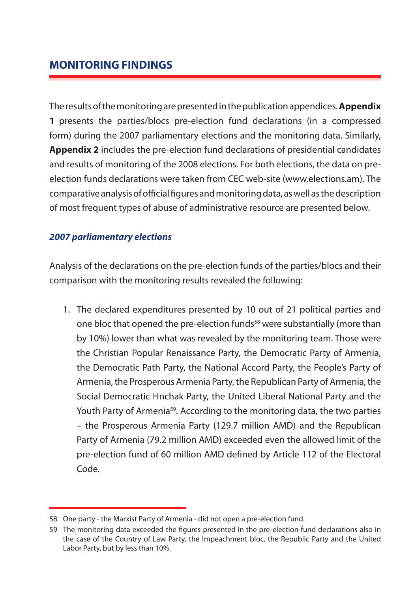# **MONITORING FINDINGS**

The results of the monitoring are presented in the publication appendices. **Appendix 1** presents the parties/blocs pre-election fund declarations (in a compressed form) during the 2007 parliamentary elections and the monitoring data. Similarly, **Appendix 2** includes the pre-election fund declarations of presidential candidates and results of monitoring of the 2008 elections. For both elections, the data on preelection funds declarations were taken from CEC web-site (www.elections.am). The comparative analysis of official figures and monitoring data, as well as the description of most frequent types of abuse of administrative resource are presented below.

#### *2007 parliamentary elections*

Analysis of the declarations on the pre-election funds of the parties/blocs and their comparison with the monitoring results revealed the following:

1. The declared expenditures presented by 10 out of 21 political parties and one bloc that opened the pre-election funds<sup>58</sup> were substantially (more than by 10%) lower than what was revealed by the monitoring team. Those were the Christian Popular Renaissance Party, the Democratic Party of Armenia, the Democratic Path Party, the National Accord Party, the People's Party of Armenia, the Prosperous Armenia Party, the Republican Party of Armenia, the Social Democratic Hnchak Party, the United Liberal National Party and the Youth Party of Armenia<sup>59</sup>. According to the monitoring data, the two parties – the Prosperous Armenia Party (129.7 million AMD) and the Republican Party of Armenia (79.2 million AMD) exceeded even the allowed limit of the pre-election fund of 60 million AMD defined by Article 112 of the Electoral Code.

<sup>58</sup> One party - the Marxist Party of Armenia - did not open a pre-election fund.

<sup>59</sup> The monitoring data exceeded the figures presented in the pre-election fund declarations also in the case of the Country of Law Party, the Impeachment bloc, the Republic Party and the United Labor Party, but by less than 10%.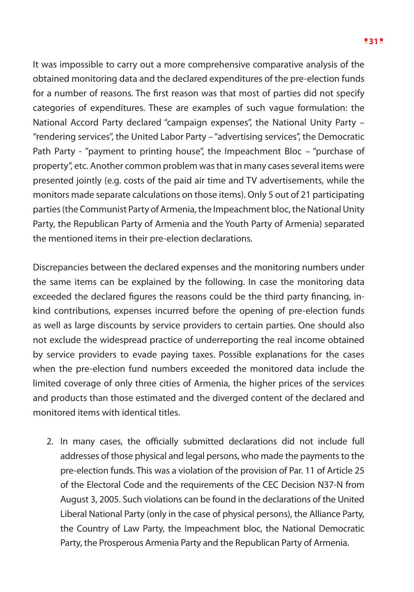It was impossible to carry out a more comprehensive comparative analysis of the obtained monitoring data and the declared expenditures of the pre-election funds for a number of reasons. The first reason was that most of parties did not specify categories of expenditures. These are examples of such vague formulation: the National Accord Party declared "campaign expenses", the National Unity Party – "rendering services", the United Labor Party – "advertising services", the Democratic Path Party - "payment to printing house", the Impeachment Bloc – "purchase of property", etc. Another common problem was that in many cases several items were presented jointly (e.g. costs of the paid air time and TV advertisements, while the monitors made separate calculations on those items). Only 5 out of 21 participating parties (the Communist Party of Armenia, the Impeachment bloc, the National Unity Party, the Republican Party of Armenia and the Youth Party of Armenia) separated the mentioned items in their pre-election declarations.

Discrepancies between the declared expenses and the monitoring numbers under the same items can be explained by the following. In case the monitoring data exceeded the declared figures the reasons could be the third party financing, inkind contributions, expenses incurred before the opening of pre-election funds as well as large discounts by service providers to certain parties. One should also not exclude the widespread practice of underreporting the real income obtained by service providers to evade paying taxes. Possible explanations for the cases when the pre-election fund numbers exceeded the monitored data include the limited coverage of only three cities of Armenia, the higher prices of the services and products than those estimated and the diverged content of the declared and monitored items with identical titles.

2. In many cases, the officially submitted declarations did not include full addresses of those physical and legal persons, who made the payments to the pre-election funds. This was a violation of the provision of Par. 11 of Article 25 of the Electoral Code and the requirements of the CEC Decision N37-N from August 3, 2005. Such violations can be found in the declarations of the United Liberal National Party (only in the case of physical persons), the Alliance Party, the Country of Law Party, the Impeachment bloc, the National Democratic Party, the Prosperous Armenia Party and the Republican Party of Armenia.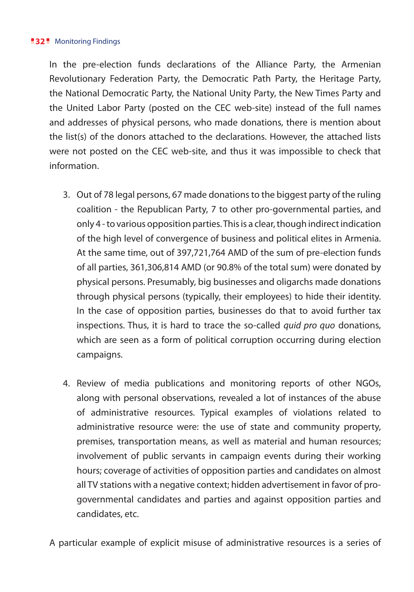#### **32** Monitoring Findings

In the pre-election funds declarations of the Alliance Party, the Armenian Revolutionary Federation Party, the Democratic Path Party, the Heritage Party, the National Democratic Party, the National Unity Party, the New Times Party and the United Labor Party (posted on the CEC web-site) instead of the full names and addresses of physical persons, who made donations, there is mention about the list(s) of the donors attached to the declarations. However, the attached lists were not posted on the CEC web-site, and thus it was impossible to check that information.

- 3. Out of 78 legal persons, 67 made donations to the biggest party of the ruling coalition - the Republican Party, 7 to other pro-governmental parties, and only 4 - to various opposition parties. This is a clear, though indirect indication of the high level of convergence of business and political elites in Armenia. At the same time, out of 397,721,764 AMD of the sum of pre-election funds of all parties, 361,306,814 AMD (or 90.8% of the total sum) were donated by physical persons. Presumably, big businesses and oligarchs made donations through physical persons (typically, their employees) to hide their identity. In the case of opposition parties, businesses do that to avoid further tax inspections. Thus, it is hard to trace the so-called *quid pro quo* donations, which are seen as a form of political corruption occurring during election campaigns.
- 4. Review of media publications and monitoring reports of other NGOs, along with personal observations, revealed a lot of instances of the abuse of administrative resources. Typical examples of violations related to administrative resource were: the use of state and community property, premises, transportation means, as well as material and human resources; involvement of public servants in campaign events during their working hours; coverage of activities of opposition parties and candidates on almost all TV stations with a negative context; hidden advertisement in favor of progovernmental candidates and parties and against opposition parties and candidates, etc.

A particular example of explicit misuse of administrative resources is a series of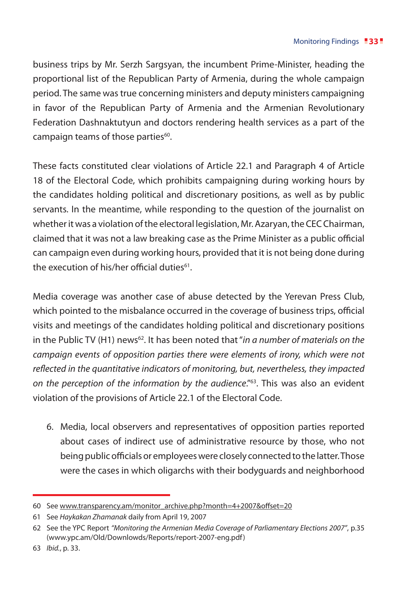business trips by Mr. Serzh Sargsyan, the incumbent Prime-Minister, heading the proportional list of the Republican Party of Armenia, during the whole campaign period. The same was true concerning ministers and deputy ministers campaigning in favor of the Republican Party of Armenia and the Armenian Revolutionary Federation Dashnaktutyun and doctors rendering health services as a part of the campaign teams of those parties<sup>60</sup>.

These facts constituted clear violations of Article 22.1 and Paragraph 4 of Article 18 of the Electoral Code, which prohibits campaigning during working hours by the candidates holding political and discretionary positions, as well as by public servants. In the meantime, while responding to the question of the journalist on whether it was a violation of the electoral legislation, Mr. Azaryan, the CEC Chairman, claimed that it was not a law breaking case as the Prime Minister as a public official can campaign even during working hours, provided that it is not being done during the execution of his/her official duties<sup>61</sup>.

Media coverage was another case of abuse detected by the Yerevan Press Club, which pointed to the misbalance occurred in the coverage of business trips, official visits and meetings of the candidates holding political and discretionary positions in the Public TV (H1) news<sup>62</sup>. It has been noted that "*in a number of materials on the campaign events of opposition parties there were elements of irony, which were not reflected in the quantitative indicators of monitoring, but, nevertheless, they impacted on the perception of the information by the audience*."63. This was also an evident violation of the provisions of Article 22.1 of the Electoral Code.

6. Media, local observers and representatives of opposition parties reported about cases of indirect use of administrative resource by those, who not being public officials or employees were closely connected to the latter. Those were the cases in which oligarchs with their bodyguards and neighborhood

<sup>60</sup> See www.transparency.am/monitor\_archive.php?month=4+2007&offset=20

<sup>61</sup> See *Haykakan Zhamanak* daily from April 19, 2007

<sup>62</sup> See the YPC Report *"Monitoring the Armenian Media Coverage of Parliamentary Elections 2007"*, p.35 (www.ypc.am/Old/Downlowds/Reports/report-2007-eng.pdf)

<sup>63</sup> *Ibid.*, p. 33.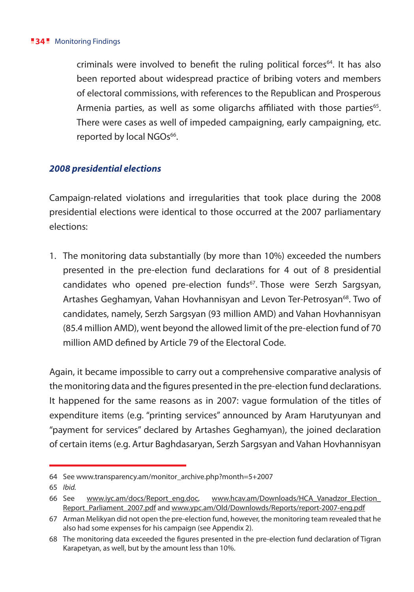#### **34** Monitoring Findings

criminals were involved to benefit the ruling political forces<sup>64</sup>. It has also been reported about widespread practice of bribing voters and members of electoral commissions, with references to the Republican and Prosperous Armenia parties, as well as some oligarchs affiliated with those parties<sup>65</sup>. There were cases as well of impeded campaigning, early campaigning, etc. reported by local NGOs<sup>66</sup>.

#### *2008 presidential elections*

Campaign-related violations and irregularities that took place during the 2008 presidential elections were identical to those occurred at the 2007 parliamentary elections:

1. The monitoring data substantially (by more than 10%) exceeded the numbers presented in the pre-election fund declarations for 4 out of 8 presidential candidates who opened pre-election funds<sup>67</sup>. Those were Serzh Sargsyan, Artashes Geghamyan, Vahan Hovhannisyan and Levon Ter-Petrosyan<sup>68</sup>. Two of candidates, namely, Serzh Sargsyan (93 million AMD) and Vahan Hovhannisyan (85.4 million AMD), went beyond the allowed limit of the pre-election fund of 70 million AMD defined by Article 79 of the Electoral Code.

Again, it became impossible to carry out a comprehensive comparative analysis of the monitoring data and the figures presented in the pre-election fund declarations. It happened for the same reasons as in 2007: vague formulation of the titles of expenditure items (e.g. "printing services" announced by Aram Harutyunyan and "payment for services" declared by Artashes Geghamyan), the joined declaration of certain items (e.g. Artur Baghdasaryan, Serzh Sargsyan and Vahan Hovhannisyan

<sup>64</sup> See www.transparency.am/monitor\_archive.php?month=5+2007

<sup>65</sup> *Ibid.*

<sup>66</sup> See www.iyc.am/docs/Report\_eng.doc, www.hcav.am/Downloads/HCA\_Vanadzor\_Election\_ Report\_Parliament\_2007.pdf and www.ypc.am/Old/Downlowds/Reports/report-2007-eng.pdf

<sup>67</sup> Arman Melikyan did not open the pre-election fund, however, the monitoring team revealed that he also had some expenses for his campaign (see Appendix 2).

<sup>68</sup> The monitoring data exceeded the figures presented in the pre-election fund declaration of Tigran Karapetyan, as well, but by the amount less than 10%.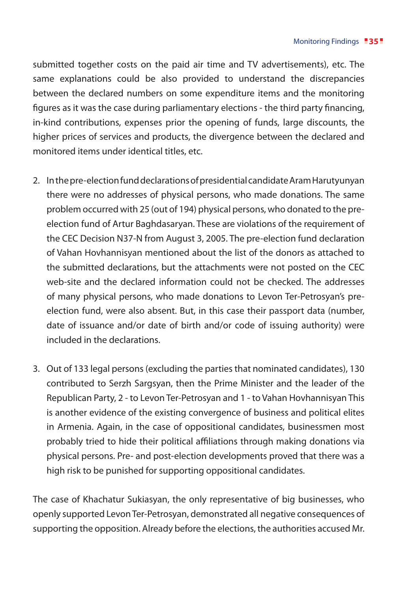submitted together costs on the paid air time and TV advertisements), etc. The same explanations could be also provided to understand the discrepancies between the declared numbers on some expenditure items and the monitoring figures as it was the case during parliamentary elections - the third party financing, in-kind contributions, expenses prior the opening of funds, large discounts, the higher prices of services and products, the divergence between the declared and monitored items under identical titles, etc.

- 2. In the pre-election fund declarations of presidential candidate Aram Harutyunyan there were no addresses of physical persons, who made donations. The same problem occurred with 25 (out of 194) physical persons, who donated to the preelection fund of Artur Baghdasaryan. These are violations of the requirement of the CEC Decision N37-N from August 3, 2005. The pre-election fund declaration of Vahan Hovhannisyan mentioned about the list of the donors as attached to the submitted declarations, but the attachments were not posted on the CEC web-site and the declared information could not be checked. The addresses of many physical persons, who made donations to Levon Ter-Petrosyan's preelection fund, were also absent. But, in this case their passport data (number, date of issuance and/or date of birth and/or code of issuing authority) were included in the declarations.
- 3. Out of 133 legal persons (excluding the parties that nominated candidates), 130 contributed to Serzh Sargsyan, then the Prime Minister and the leader of the Republican Party, 2 - to Levon Ter-Petrosyan and 1 - to Vahan Hovhannisyan This is another evidence of the existing convergence of business and political elites in Armenia. Again, in the case of oppositional candidates, businessmen most probably tried to hide their political affiliations through making donations via physical persons. Pre- and post-election developments proved that there was a high risk to be punished for supporting oppositional candidates.

The case of Khachatur Sukiasyan, the only representative of big businesses, who openly supported Levon Ter-Petrosyan, demonstrated all negative consequences of supporting the opposition. Already before the elections, the authorities accused Mr.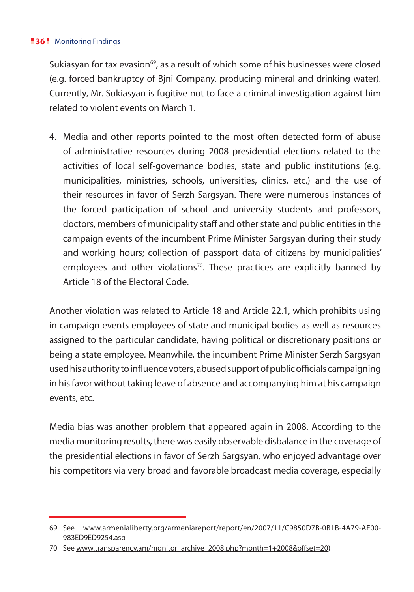#### **36** Monitoring Findings

Sukiasyan for tax evasion $^{69}$ , as a result of which some of his businesses were closed (e.g. forced bankruptcy of Bjni Company, producing mineral and drinking water). Currently, Mr. Sukiasyan is fugitive not to face a criminal investigation against him related to violent events on March 1.

4. Media and other reports pointed to the most often detected form of abuse of administrative resources during 2008 presidential elections related to the activities of local self-governance bodies, state and public institutions (e.g. municipalities, ministries, schools, universities, clinics, etc.) and the use of their resources in favor of Serzh Sargsyan. There were numerous instances of the forced participation of school and university students and professors, doctors, members of municipality staff and other state and public entities in the campaign events of the incumbent Prime Minister Sargsyan during their study and working hours; collection of passport data of citizens by municipalities' employees and other violations<sup>70</sup>. These practices are explicitly banned by Article 18 of the Electoral Code.

Another violation was related to Article 18 and Article 22.1, which prohibits using in campaign events employees of state and municipal bodies as well as resources assigned to the particular candidate, having political or discretionary positions or being a state employee. Meanwhile, the incumbent Prime Minister Serzh Sargsyan used his authority to influence voters, abused support of public officials campaigning in his favor without taking leave of absence and accompanying him at his campaign events, etc.

Media bias was another problem that appeared again in 2008. According to the media monitoring results, there was easily observable disbalance in the coverage of the presidential elections in favor of Serzh Sargsyan, who enjoyed advantage over his competitors via very broad and favorable broadcast media coverage, especially

<sup>69</sup> See www.armenialiberty.org/armeniareport/report/en/2007/11/C9850D7B-0B1B-4A79-AE00- 983ED9ED9254.asp

<sup>70</sup> See www.transparency.am/monitor\_archive\_2008.php?month=1+2008&offset=20)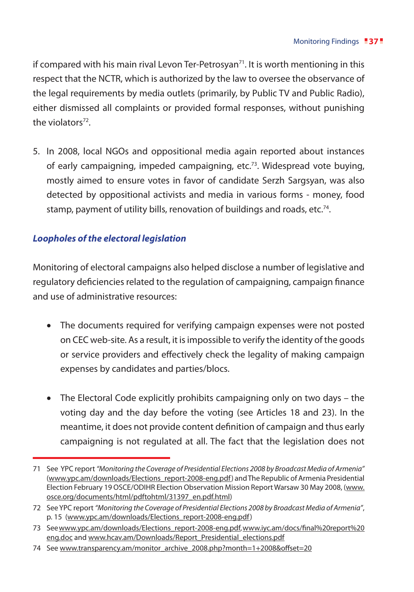if compared with his main rival Levon Ter-Petrosyan<sup>71</sup>. It is worth mentioning in this respect that the NCTR, which is authorized by the law to oversee the observance of the legal requirements by media outlets (primarily, by Public TV and Public Radio), either dismissed all complaints or provided formal responses, without punishing the violators<sup>72</sup>

5. In 2008, local NGOs and oppositional media again reported about instances of early campaigning, impeded campaigning, etc.73. Widespread vote buying, mostly aimed to ensure votes in favor of candidate Serzh Sargsyan, was also detected by oppositional activists and media in various forms - money, food stamp, payment of utility bills, renovation of buildings and roads, etc.<sup>74</sup>.

## *Loopholes of the electoral legislation*

Monitoring of electoral campaigns also helped disclose a number of legislative and regulatory deficiencies related to the regulation of campaigning, campaign finance and use of administrative resources:

- The documents required for verifying campaign expenses were not posted on CEC web-site. As a result, it is impossible to verify the identity of the goods or service providers and effectively check the legality of making campaign expenses by candidates and parties/blocs.
- The Electoral Code explicitly prohibits campaigning only on two days the voting day and the day before the voting (see Articles 18 and 23). In the meantime, it does not provide content definition of campaign and thus early campaigning is not regulated at all. The fact that the legislation does not

<sup>71</sup> See YPC report *"Monitoring the Coverage of Presidential Elections 2008 by Broadcast Media of Armenia"* (www.ypc.am/downloads/Elections\_report-2008-eng.pdf) and The Republic of Armenia Presidential Election February 19 OSCE/ODIHR Election Observation Mission Report Warsaw 30 May 2008, (www. osce.org/documents/html/pdftohtml/31397\_en.pdf.html)

<sup>72</sup> See YPC report *"Monitoring the Coverage of Presidential Elections 2008 by Broadcast Media of Armenia"*, p. 15 (www.ypc.am/downloads/Elections\_report-2008-eng.pdf)

<sup>73</sup> See www.ypc.am/downloads/Elections\_report-2008-eng.pdf, www.iyc.am/docs/final%20report%20 eng.doc and www.hcav.am/Downloads/Report\_Presidential\_elections.pdf

<sup>74</sup> See www.transparency.am/monitor\_archive\_2008.php?month=1+2008&offset=20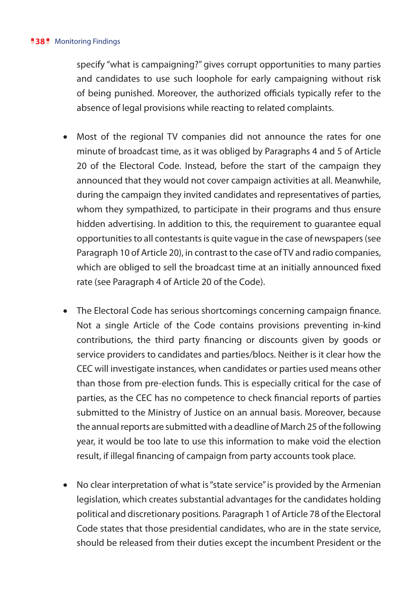specify "what is campaigning?" gives corrupt opportunities to many parties and candidates to use such loophole for early campaigning without risk of being punished. Moreover, the authorized officials typically refer to the absence of legal provisions while reacting to related complaints.

- Most of the regional TV companies did not announce the rates for one minute of broadcast time, as it was obliged by Paragraphs 4 and 5 of Article 20 of the Electoral Code. Instead, before the start of the campaign they announced that they would not cover campaign activities at all. Meanwhile, during the campaign they invited candidates and representatives of parties, whom they sympathized, to participate in their programs and thus ensure hidden advertising. In addition to this, the requirement to guarantee equal opportunities to all contestants is quite vague in the case of newspapers (see Paragraph 10 of Article 20), in contrast to the case of TV and radio companies, which are obliged to sell the broadcast time at an initially announced fixed rate (see Paragraph 4 of Article 20 of the Code).
- The Electoral Code has serious shortcomings concerning campaign finance. Not a single Article of the Code contains provisions preventing in-kind contributions, the third party financing or discounts given by goods or service providers to candidates and parties/blocs. Neither is it clear how the CEC will investigate instances, when candidates or parties used means other than those from pre-election funds. This is especially critical for the case of parties, as the CEC has no competence to check financial reports of parties submitted to the Ministry of Justice on an annual basis. Moreover, because the annual reports are submitted with a deadline of March 25 of the following year, it would be too late to use this information to make void the election result, if illegal financing of campaign from party accounts took place.
- No clear interpretation of what is "state service" is provided by the Armenian legislation, which creates substantial advantages for the candidates holding political and discretionary positions. Paragraph 1 of Article 78 of the Electoral Code states that those presidential candidates, who are in the state service, should be released from their duties except the incumbent President or the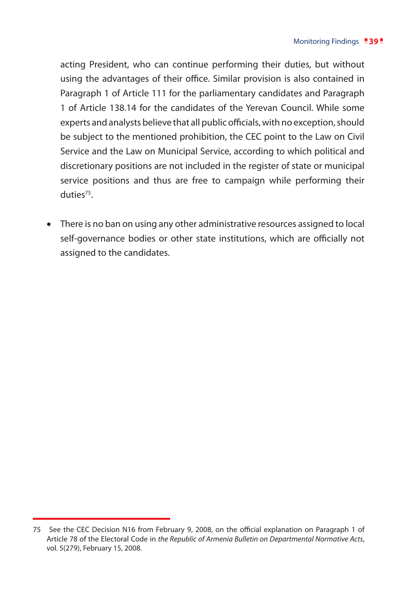acting President, who can continue performing their duties, but without using the advantages of their office. Similar provision is also contained in Paragraph 1 of Article 111 for the parliamentary candidates and Paragraph 1 of Article 138.14 for the candidates of the Yerevan Council. While some experts and analysts believe that all public officials, with no exception, should be subject to the mentioned prohibition, the CEC point to the Law on Civil Service and the Law on Municipal Service, according to which political and discretionary positions are not included in the register of state or municipal service positions and thus are free to campaign while performing their duties75.

There is no ban on using any other administrative resources assigned to local self-governance bodies or other state institutions, which are officially not assigned to the candidates.

<sup>75</sup> See the CEC Decision N16 from February 9, 2008, on the official explanation on Paragraph 1 of Article 78 of the Electoral Code in *the Republic of Armenia Bulletin on Departmental Normative Acts*, vol. 5(279), February 15, 2008.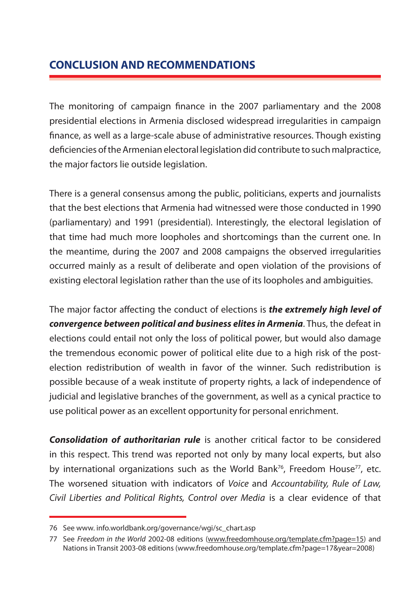# **CONCLUSION AND RECOMMENDATIONS**

The monitoring of campaign finance in the 2007 parliamentary and the 2008 presidential elections in Armenia disclosed widespread irregularities in campaign finance, as well as a large-scale abuse of administrative resources. Though existing deficiencies of the Armenian electoral legislation did contribute to such malpractice, the major factors lie outside legislation.

There is a general consensus among the public, politicians, experts and journalists that the best elections that Armenia had witnessed were those conducted in 1990 (parliamentary) and 1991 (presidential). Interestingly, the electoral legislation of that time had much more loopholes and shortcomings than the current one. In the meantime, during the 2007 and 2008 campaigns the observed irregularities occurred mainly as a result of deliberate and open violation of the provisions of existing electoral legislation rather than the use of its loopholes and ambiguities.

The major factor affecting the conduct of elections is *the extremely high level of convergence between political and business elites in Armenia*. Thus, the defeat in elections could entail not only the loss of political power, but would also damage the tremendous economic power of political elite due to a high risk of the postelection redistribution of wealth in favor of the winner. Such redistribution is possible because of a weak institute of property rights, a lack of independence of judicial and legislative branches of the government, as well as a cynical practice to use political power as an excellent opportunity for personal enrichment.

*Consolidation of authoritarian rule* is another critical factor to be considered in this respect. This trend was reported not only by many local experts, but also by international organizations such as the World Bank<sup>76</sup>, Freedom House<sup>77</sup>, etc. The worsened situation with indicators of *Voice* and *Accountability, Rule of Law, Civil Liberties and Political Rights, Control over Media* is a clear evidence of that

<sup>76</sup> See www. info.worldbank.org/governance/wgi/sc\_chart.asp

<sup>77</sup> See *Freedom in the World* 2002-08 editions (www.freedomhouse.org/template.cfm?page=15) and Nations in Transit 2003-08 editions (www.freedomhouse.org/template.cfm?page=17&year=2008)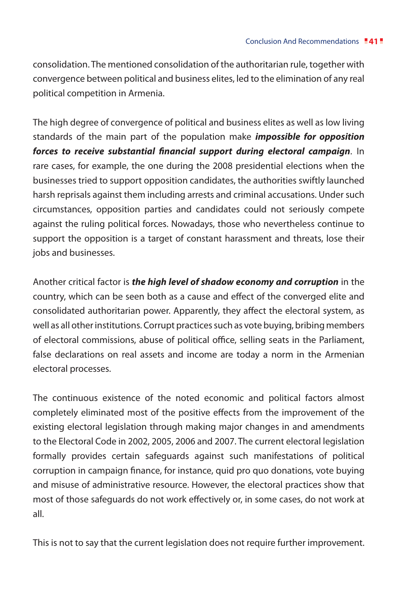consolidation. The mentioned consolidation of the authoritarian rule, together with convergence between political and business elites, led to the elimination of any real political competition in Armenia.

The high degree of convergence of political and business elites as well as low living standards of the main part of the population make *impossible for opposition forces to receive substantial financial support during electoral campaign*. In rare cases, for example, the one during the 2008 presidential elections when the businesses tried to support opposition candidates, the authorities swiftly launched harsh reprisals against them including arrests and criminal accusations. Under such circumstances, opposition parties and candidates could not seriously compete against the ruling political forces. Nowadays, those who nevertheless continue to support the opposition is a target of constant harassment and threats, lose their jobs and businesses.

Another critical factor is *the high level of shadow economy and corruption* in the country, which can be seen both as a cause and effect of the converged elite and consolidated authoritarian power. Apparently, they affect the electoral system, as well as all other institutions. Corrupt practices such as vote buying, bribing members of electoral commissions, abuse of political office, selling seats in the Parliament, false declarations on real assets and income are today a norm in the Armenian electoral processes.

The continuous existence of the noted economic and political factors almost completely eliminated most of the positive effects from the improvement of the existing electoral legislation through making major changes in and amendments to the Electoral Code in 2002, 2005, 2006 and 2007. The current electoral legislation formally provides certain safeguards against such manifestations of political corruption in campaign finance, for instance, quid pro quo donations, vote buying and misuse of administrative resource. However, the electoral practices show that most of those safeguards do not work effectively or, in some cases, do not work at all.

This is not to say that the current legislation does not require further improvement.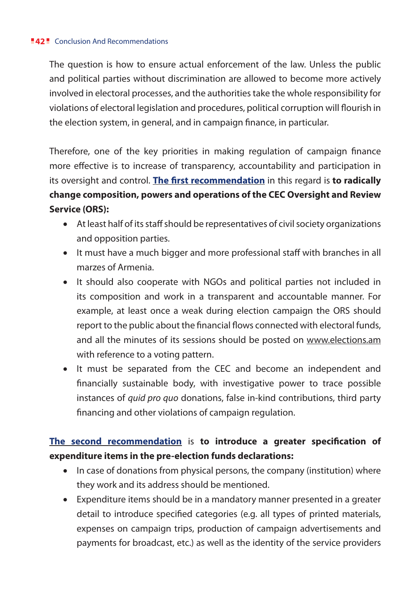The question is how to ensure actual enforcement of the law. Unless the public and political parties without discrimination are allowed to become more actively involved in electoral processes, and the authorities take the whole responsibility for violations of electoral legislation and procedures, political corruption will flourish in the election system, in general, and in campaign finance, in particular.

Therefore, one of the key priorities in making regulation of campaign finance more effective is to increase of transparency, accountability and participation in its oversight and control. **The first recommendation** in this regard is **to radically change composition, powers and operations of the CEC Oversight and Review Service (ORS):** 

- • At least half of its staff should be representatives of civil society organizations and opposition parties.
- It must have a much bigger and more professional staff with branches in all marzes of Armenia.
- It should also cooperate with NGOs and political parties not included in its composition and work in a transparent and accountable manner. For example, at least once a weak during election campaign the ORS should report to the public about the financial flows connected with electoral funds, and all the minutes of its sessions should be posted on www.elections.am with reference to a voting pattern.
- It must be separated from the CEC and become an independent and financially sustainable body, with investigative power to trace possible instances of *quid pro quo* donations, false in-kind contributions, third party financing and other violations of campaign regulation.

# **The second recommendation** is **to introduce a greater specification of expenditure items in the pre-election funds declarations:**

- In case of donations from physical persons, the company (institution) where they work and its address should be mentioned.
- Expenditure items should be in a mandatory manner presented in a greater detail to introduce specified categories (e.g. all types of printed materials, expenses on campaign trips, production of campaign advertisements and payments for broadcast, etc.) as well as the identity of the service providers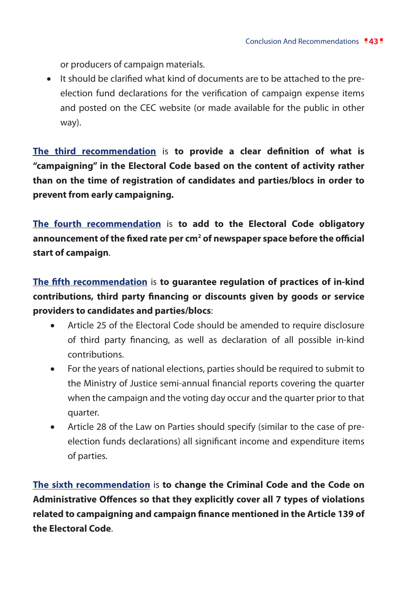or producers of campaign materials.

• It should be clarified what kind of documents are to be attached to the preelection fund declarations for the verification of campaign expense items and posted on the CEC website (or made available for the public in other way).

**The third recommendation** is **to provide a clear definition of what is "campaigning" in the Electoral Code based on the content of activity rather than on the time of registration of candidates and parties/blocs in order to prevent from early campaigning.** 

**The fourth recommendation** is **to add to the Electoral Code obligatory**  announcement of the fixed rate per cm<sup>2</sup> of newspaper space before the official **start of campaign**.

**The fifth recommendation** is **to guarantee regulation of practices of in-kind contributions, third party financing or discounts given by goods or service providers to candidates and parties/blocs**:

- Article 25 of the Electoral Code should be amended to require disclosure of third party financing, as well as declaration of all possible in-kind contributions.
- • For the years of national elections, parties should be required to submit to the Ministry of Justice semi-annual financial reports covering the quarter when the campaign and the voting day occur and the quarter prior to that quarter.
- Article 28 of the Law on Parties should specify (similar to the case of preelection funds declarations) all significant income and expenditure items of parties.

**The sixth recommendation** is **to change the Criminal Code and the Code on Administrative Offences so that they explicitly cover all 7 types of violations related to campaigning and campaign finance mentioned in the Article 139 of the Electoral Code**.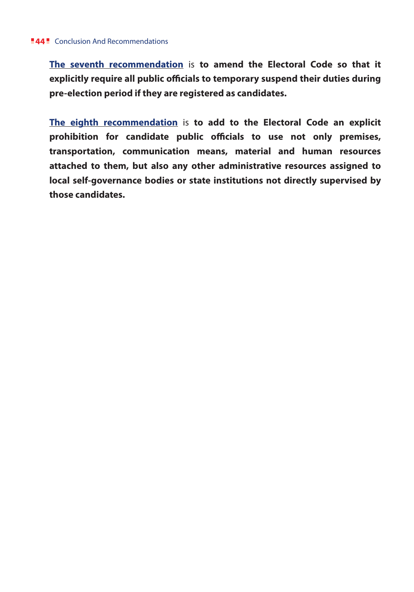**The seventh recommendation** is **to amend the Electoral Code so that it explicitly require all public officials to temporary suspend their duties during pre-election period if they are registered as candidates.**

**The eighth recommendation** is **to add to the Electoral Code an explicit prohibition for candidate public officials to use not only premises, transportation, communication means, material and human resources attached to them, but also any other administrative resources assigned to local self-governance bodies or state institutions not directly supervised by those candidates.**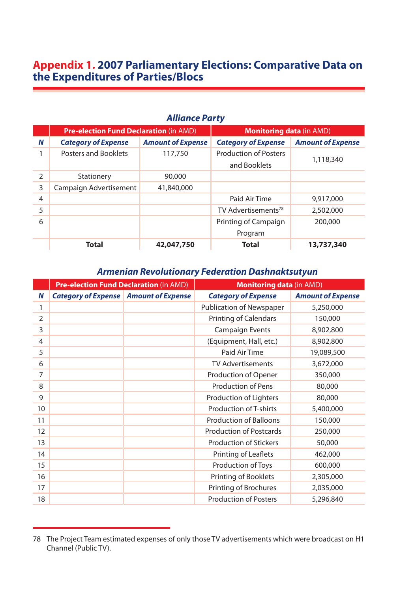# **Appendix 1. 2007 Parliamentary Elections: Comparative Data on the Expenditures of Parties/Blocs**

#### **Alliance Party**

|   | <b>Pre-election Fund Declaration (in AMD)</b> |                          | <b>Monitoring data (in AMD)</b> |                          |
|---|-----------------------------------------------|--------------------------|---------------------------------|--------------------------|
| N | <b>Category of Expense</b>                    | <b>Amount of Expense</b> | <b>Category of Expense</b>      | <b>Amount of Expense</b> |
|   | <b>Posters and Booklets</b>                   | 117,750                  | <b>Production of Posters</b>    | 1,118,340                |
|   |                                               |                          | and Booklets                    |                          |
| 2 | Stationery                                    | 90,000                   |                                 |                          |
| 3 | Campaign Advertisement                        | 41,840,000               |                                 |                          |
| 4 |                                               |                          | Paid Air Time                   | 9,917,000                |
| 5 |                                               |                          | TV Advertisements <sup>78</sup> | 2,502,000                |
| 6 |                                               |                          | Printing of Campaign            | 200,000                  |
|   |                                               |                          | Program                         |                          |
|   | Total                                         | 42,047,750               | <b>Total</b>                    | 13,737,340               |

#### *Armenian Revolutionary Federation Dashnaktsutyun*

|                | <b>Pre-election Fund Declaration (in AMD)</b>  |  | <b>Monitoring data (in AMD)</b> |                          |  |
|----------------|------------------------------------------------|--|---------------------------------|--------------------------|--|
| N              | <b>Category of Expense   Amount of Expense</b> |  | <b>Category of Expense</b>      | <b>Amount of Expense</b> |  |
| 1              |                                                |  | Publication of Newspaper        | 5,250,000                |  |
| $\overline{2}$ |                                                |  | <b>Printing of Calendars</b>    | 150,000                  |  |
| 3              |                                                |  | <b>Campaign Events</b>          | 8,902,800                |  |
| 4              |                                                |  | (Equipment, Hall, etc.)         | 8,902,800                |  |
| 5              |                                                |  | Paid Air Time                   | 19,089,500               |  |
| 6              |                                                |  | <b>TV Advertisements</b>        | 3,672,000                |  |
| 7              |                                                |  | Production of Opener            | 350,000                  |  |
| 8              |                                                |  | <b>Production of Pens</b>       | 80,000                   |  |
| 9              |                                                |  | Production of Lighters          | 80,000                   |  |
| 10             |                                                |  | <b>Production of T-shirts</b>   | 5,400,000                |  |
| 11             |                                                |  | <b>Production of Balloons</b>   | 150,000                  |  |
| 12             |                                                |  | <b>Production of Postcards</b>  | 250,000                  |  |
| 13             |                                                |  | <b>Production of Stickers</b>   | 50,000                   |  |
| 14             |                                                |  | Printing of Leaflets            | 462,000                  |  |
| 15             |                                                |  | Production of Toys              | 600,000                  |  |
| 16             |                                                |  | Printing of Booklets            | 2,305,000                |  |
| 17             |                                                |  | Printing of Brochures           | 2,035,000                |  |
| 18             |                                                |  | <b>Production of Posters</b>    | 5,296,840                |  |

<sup>78</sup> The Project Team estimated expenses of only those TV advertisements which were broadcast on H1 Channel (Public TV).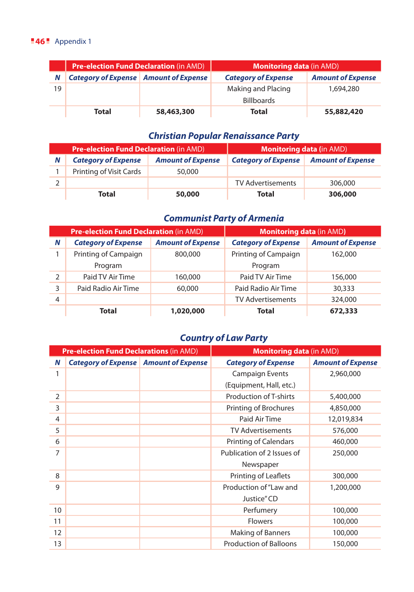#### **46** Appendix 1

|    | <b>Pre-election Fund Declaration (in AMD)</b> |            | <b>Monitoring data (in AMD)</b> |                          |
|----|-----------------------------------------------|------------|---------------------------------|--------------------------|
| N  | <b>Category of Expense</b> Amount of Expense  |            | <b>Category of Expense</b>      | <b>Amount of Expense</b> |
| 19 |                                               |            | Making and Placing              | 1,694,280                |
|    |                                               |            | <b>Billboards</b>               |                          |
|    | Total                                         | 58,463,300 | <b>Total</b>                    | 55,882,420               |

## *Christian Popular Renaissance Party*

| <b>Pre-election Fund Declaration (in AMD)</b> |                            |                          | <b>Monitoring data (in AMD)</b> |                          |
|-----------------------------------------------|----------------------------|--------------------------|---------------------------------|--------------------------|
| N                                             | <b>Category of Expense</b> | <b>Amount of Expense</b> | <b>Category of Expense</b>      | <b>Amount of Expense</b> |
|                                               | Printing of Visit Cards    | 50,000                   |                                 |                          |
|                                               |                            |                          | <b>TV Advertisements</b>        | 306,000                  |
|                                               | Total                      | 50,000                   | <b>Total</b>                    | 306,000                  |

## *Communist Party of Armenia*

|               | <b>Pre-election Fund Declaration (in AMD)</b> |                          | <b>Monitoring data (in AMD)</b> |                          |
|---------------|-----------------------------------------------|--------------------------|---------------------------------|--------------------------|
| N             | <b>Category of Expense</b>                    | <b>Amount of Expense</b> | <b>Category of Expense</b>      | <b>Amount of Expense</b> |
|               | Printing of Campaign                          | 800,000                  | Printing of Campaign            | 162,000                  |
|               | Program                                       |                          | Program                         |                          |
| $\mathcal{P}$ | Paid TV Air Time                              | 160,000                  | Paid TV Air Time                | 156,000                  |
| 3             | Paid Radio Air Time                           | 60,000                   | Paid Radio Air Time             | 30,333                   |
| 4             |                                               |                          | <b>TV Advertisements</b>        | 324,000                  |
|               | Total                                         | 1,020,000                | <b>Total</b>                    | 672,333                  |

# *Country of Law Party*

| <b>Pre-election Fund Declarations (in AMD)</b> |                                              | <b>Monitoring data (in AMD)</b> |                               |                          |
|------------------------------------------------|----------------------------------------------|---------------------------------|-------------------------------|--------------------------|
| N                                              | <b>Category of Expense</b> Amount of Expense |                                 | <b>Category of Expense</b>    | <b>Amount of Expense</b> |
| 1                                              |                                              |                                 | <b>Campaign Events</b>        | 2,960,000                |
|                                                |                                              |                                 | (Equipment, Hall, etc.)       |                          |
| 2                                              |                                              |                                 | Production of T-shirts        | 5,400,000                |
| 3                                              |                                              |                                 | Printing of Brochures         | 4,850,000                |
| 4                                              |                                              |                                 | Paid Air Time                 | 12,019,834               |
| 5                                              |                                              |                                 | <b>TV Advertisements</b>      | 576,000                  |
| 6                                              |                                              |                                 | Printing of Calendars         | 460,000                  |
| 7                                              |                                              |                                 | Publication of 2 Issues of    | 250,000                  |
|                                                |                                              |                                 | Newspaper                     |                          |
| 8                                              |                                              |                                 | Printing of Leaflets          | 300,000                  |
| 9                                              |                                              |                                 | Production of "Law and        | 1,200,000                |
|                                                |                                              |                                 | Justice" CD                   |                          |
| 10                                             |                                              |                                 | Perfumery                     | 100,000                  |
| 11                                             |                                              |                                 | <b>Flowers</b>                | 100,000                  |
| 12                                             |                                              |                                 | Making of Banners             | 100,000                  |
| 13                                             |                                              |                                 | <b>Production of Balloons</b> | 150,000                  |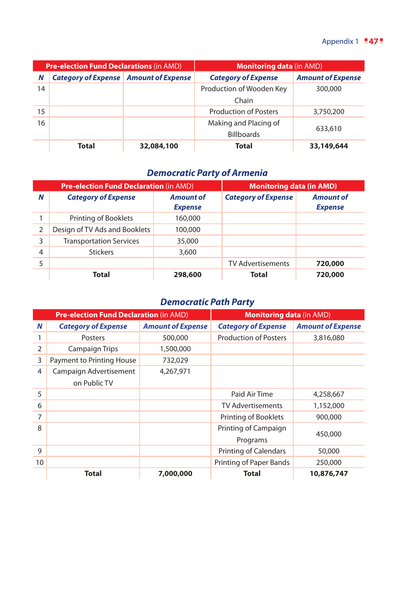| <b>Pre-election Fund Declarations (in AMD)</b> |                                              | <b>Monitoring data (in AMD)</b> |                              |                          |
|------------------------------------------------|----------------------------------------------|---------------------------------|------------------------------|--------------------------|
| N                                              | <b>Category of Expense</b> Amount of Expense |                                 | <b>Category of Expense</b>   | <b>Amount of Expense</b> |
| 14                                             |                                              |                                 | Production of Wooden Key     | 300,000                  |
|                                                |                                              |                                 | Chain                        |                          |
| 15                                             |                                              |                                 | <b>Production of Posters</b> | 3,750,200                |
| 16                                             |                                              |                                 | Making and Placing of        |                          |
|                                                |                                              |                                 | <b>Billboards</b>            | 633,610                  |
|                                                | Total                                        | 32,084,100                      | <b>Total</b>                 | 33,149,644               |

## *Democratic Party of Armenia*

|   | <b>Pre-election Fund Declaration (in AMD)</b> | <b>Monitoring data (in AMD)</b>    |                            |                                    |
|---|-----------------------------------------------|------------------------------------|----------------------------|------------------------------------|
| N | <b>Category of Expense</b>                    | <b>Amount of</b><br><b>Expense</b> | <b>Category of Expense</b> | <b>Amount of</b><br><b>Expense</b> |
|   | Printing of Booklets                          | 160,000                            |                            |                                    |
| 2 | Design of TV Ads and Booklets                 | 100,000                            |                            |                                    |
| 3 | <b>Transportation Services</b>                | 35,000                             |                            |                                    |
| 4 | <b>Stickers</b>                               | 3,600                              |                            |                                    |
| 5 |                                               |                                    | <b>TV Advertisements</b>   | 720,000                            |
|   | <b>Total</b>                                  | 298,600                            | <b>Total</b>               | 720,000                            |

# *Democratic Path Party*

|    | <b>Pre-election Fund Declaration (in AMD)</b> |                          | <b>Monitoring data (in AMD)</b> |                          |
|----|-----------------------------------------------|--------------------------|---------------------------------|--------------------------|
| N  | <b>Category of Expense</b>                    | <b>Amount of Expense</b> | <b>Category of Expense</b>      | <b>Amount of Expense</b> |
|    | Posters                                       | 500,000                  | <b>Production of Posters</b>    | 3,816,080                |
| 2  | <b>Campaign Trips</b>                         | 1,500,000                |                                 |                          |
| 3  | Payment to Printing House                     | 732,029                  |                                 |                          |
| 4  | Campaign Advertisement<br>on Public TV        | 4,267,971                |                                 |                          |
| 5  |                                               |                          | Paid Air Time                   | 4,258,667                |
| 6  |                                               |                          | <b>TV Advertisements</b>        | 1,152,000                |
| 7  |                                               |                          | Printing of Booklets            | 900,000                  |
| 8  |                                               |                          | Printing of Campaign            | 450,000                  |
|    |                                               |                          | Programs                        |                          |
| 9  |                                               |                          | <b>Printing of Calendars</b>    | 50,000                   |
| 10 |                                               |                          | Printing of Paper Bands         | 250,000                  |
|    | Total                                         | 7,000,000                | <b>Total</b>                    | 10,876,747               |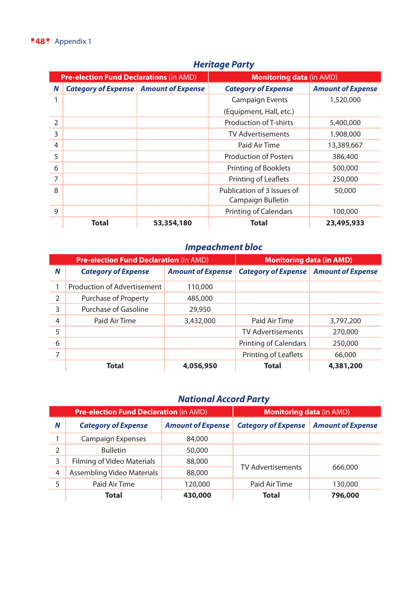| <b>Pre-election Fund Declarations (in AMD)</b> |                                              | <b>Monitoring data (in AMD)</b> |                               |                          |
|------------------------------------------------|----------------------------------------------|---------------------------------|-------------------------------|--------------------------|
| N                                              | <b>Category of Expense</b> Amount of Expense |                                 | <b>Category of Expense</b>    | <b>Amount of Expense</b> |
|                                                |                                              |                                 | <b>Campaign Events</b>        | 1,520,000                |
|                                                |                                              |                                 | (Equipment, Hall, etc.)       |                          |
| $\mathcal{P}$                                  |                                              |                                 | <b>Production of T-shirts</b> | 5,400,000                |
| 3                                              |                                              |                                 | <b>TV Advertisements</b>      | 1,908,000                |
| 4                                              |                                              |                                 | Paid Air Time                 | 13,389,667               |
| 5                                              |                                              |                                 | <b>Production of Posters</b>  | 386,400                  |
| 6                                              |                                              |                                 | Printing of Booklets          | 500,000                  |
| 7                                              |                                              |                                 | Printing of Leaflets          | 250,000                  |
| 8                                              |                                              |                                 | Publication of 3 Issues of    | 50,000                   |
|                                                |                                              |                                 | Campaign Bulletin             |                          |
| 9                                              |                                              |                                 | Printing of Calendars         | 100,000                  |
|                                                | <b>Total</b>                                 | 53,354,180                      | Total                         | 23,495,933               |

## *Heritage Party*

# *Impeachment bloc*

|                | <b>Pre-election Fund Declaration (in AMD)</b> | <b>Monitoring data (in AMD)</b> |                                                             |           |
|----------------|-----------------------------------------------|---------------------------------|-------------------------------------------------------------|-----------|
| N              | <b>Category of Expense</b>                    |                                 | Amount of Expense   Category of Expense   Amount of Expense |           |
|                | Production of Advertisement                   | 110,000                         |                                                             |           |
| 2              | Purchase of Property                          | 485,000                         |                                                             |           |
| 3              | Purchase of Gasoline                          | 29,950                          |                                                             |           |
| $\overline{4}$ | Paid Air Time                                 | 3,432,000                       | Paid Air Time                                               | 3,797,200 |
| 5              |                                               |                                 | <b>TV Advertisements</b>                                    | 270,000   |
| 6              |                                               |                                 | <b>Printing of Calendars</b>                                | 250,000   |
| 7              |                                               |                                 | Printing of Leaflets                                        | 66,000    |
|                | Total                                         | 4,056,950                       | Total                                                       | 4,381,200 |

# *National Accord Party*

|                | <b>Pre-election Fund Declaration</b> (in AMD) |                          | <b>Monitoring data (in AMD)</b> |                          |
|----------------|-----------------------------------------------|--------------------------|---------------------------------|--------------------------|
| Ν              | <b>Category of Expense</b>                    | <b>Amount of Expense</b> | <b>Category of Expense</b>      | <b>Amount of Expense</b> |
|                | <b>Campaign Expenses</b>                      | 84,000                   |                                 |                          |
| 2              | <b>Bulletin</b>                               | 50,000                   |                                 |                          |
| 3              | Filming of Video Materials                    | 88,000                   | <b>TV Advertisements</b>        | 666,000                  |
| $\overline{4}$ | Assembling Video Materials                    | 88,000                   |                                 |                          |
| 5              | Paid Air Time                                 | 120,000                  | Paid Air Time                   | 130,000                  |
|                | Total                                         | 430,000                  | Total                           | 796,000                  |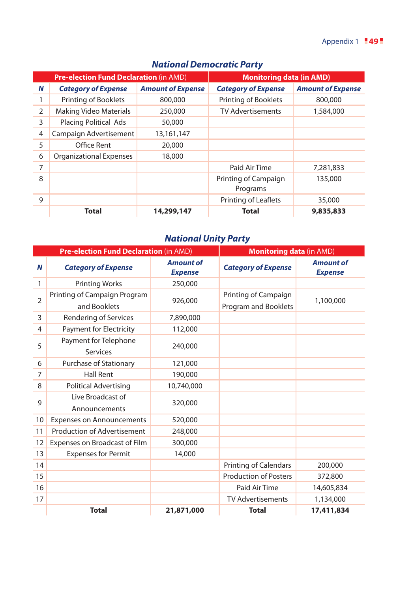|   | <b>Pre-election Fund Declaration (in AMD)</b> |                          | <b>Monitoring data (in AMD)</b>  |                          |
|---|-----------------------------------------------|--------------------------|----------------------------------|--------------------------|
| N | <b>Category of Expense</b>                    | <b>Amount of Expense</b> | <b>Category of Expense</b>       | <b>Amount of Expense</b> |
|   | <b>Printing of Booklets</b>                   | 800,000                  | Printing of Booklets             | 800,000                  |
| 2 | <b>Making Video Materials</b>                 | 250,000                  | <b>TV Advertisements</b>         | 1,584,000                |
| 3 | <b>Placing Political Ads</b>                  | 50,000                   |                                  |                          |
| 4 | Campaign Advertisement                        | 13,161,147               |                                  |                          |
| 5 | Office Rent                                   | 20,000                   |                                  |                          |
| 6 | <b>Organizational Expenses</b>                | 18,000                   |                                  |                          |
| 7 |                                               |                          | Paid Air Time                    | 7,281,833                |
| 8 |                                               |                          | Printing of Campaign<br>Programs | 135,000                  |
| 9 |                                               |                          | <b>Printing of Leaflets</b>      | 35,000                   |
|   | Total                                         | 14,299,147               | <b>Total</b>                     | 9,835,833                |

## *National Democratic Party*

# *National Unity Party*

|                | Pre-election Fund Declaration (in AMD) |                                    | <b>Monitoring data (in AMD)</b> |                                    |
|----------------|----------------------------------------|------------------------------------|---------------------------------|------------------------------------|
| N              | <b>Category of Expense</b>             | <b>Amount of</b><br><b>Expense</b> | <b>Category of Expense</b>      | <b>Amount of</b><br><b>Expense</b> |
| 1              | <b>Printing Works</b>                  | 250,000                            |                                 |                                    |
| $\overline{2}$ | Printing of Campaign Program           | 926,000                            | Printing of Campaign            | 1,100,000                          |
|                | and Booklets                           |                                    | Program and Booklets            |                                    |
| 3              | Rendering of Services                  | 7,890,000                          |                                 |                                    |
| 4              | Payment for Electricity                | 112,000                            |                                 |                                    |
| 5              | Payment for Telephone                  | 240,000                            |                                 |                                    |
|                | <b>Services</b>                        |                                    |                                 |                                    |
| 6              | Purchase of Stationary                 | 121,000                            |                                 |                                    |
| 7              | <b>Hall Rent</b>                       | 190,000                            |                                 |                                    |
| 8              | <b>Political Advertising</b>           | 10,740,000                         |                                 |                                    |
| 9              | Live Broadcast of                      | 320,000                            |                                 |                                    |
|                | Announcements                          |                                    |                                 |                                    |
| 10             | <b>Expenses on Announcements</b>       | 520,000                            |                                 |                                    |
| 11             | Production of Advertisement            | 248,000                            |                                 |                                    |
| 12             | Expenses on Broadcast of Film          | 300,000                            |                                 |                                    |
| 13             | <b>Expenses for Permit</b>             | 14,000                             |                                 |                                    |
| 14             |                                        |                                    | Printing of Calendars           | 200,000                            |
| 15             |                                        |                                    | <b>Production of Posters</b>    | 372,800                            |
| 16             |                                        |                                    | Paid Air Time                   | 14,605,834                         |
| 17             |                                        |                                    | <b>TV Advertisements</b>        | 1,134,000                          |
|                | <b>Total</b>                           | 21,871,000                         | <b>Total</b>                    | 17,411,834                         |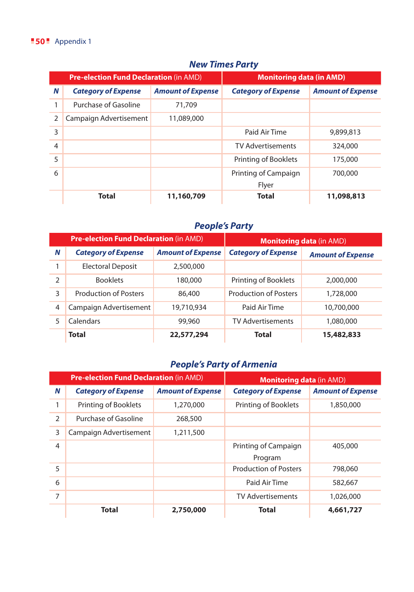#### **50** Appendix 1

|   | <b>Pre-election Fund Declaration (in AMD)</b> |                          | <b>Monitoring data (in AMD)</b> |                          |
|---|-----------------------------------------------|--------------------------|---------------------------------|--------------------------|
| N | <b>Category of Expense</b>                    | <b>Amount of Expense</b> | <b>Category of Expense</b>      | <b>Amount of Expense</b> |
|   | Purchase of Gasoline                          | 71,709                   |                                 |                          |
| 2 | Campaign Advertisement                        | 11,089,000               |                                 |                          |
| 3 |                                               |                          | Paid Air Time                   | 9,899,813                |
| 4 |                                               |                          | <b>TV Advertisements</b>        | 324,000                  |
| 5 |                                               |                          | Printing of Booklets            | 175,000                  |
| 6 |                                               |                          | Printing of Campaign            | 700,000                  |
|   |                                               |                          | Flyer                           |                          |
|   | Total                                         | 11,160,709               | <b>Total</b>                    | 11,098,813               |

#### *New Times Party*

## *People's Party*

|                | <b>Pre-election Fund Declaration (in AMD)</b> |                          | <b>Monitoring data (in AMD)</b> |                          |
|----------------|-----------------------------------------------|--------------------------|---------------------------------|--------------------------|
| N              | <b>Category of Expense</b>                    | <b>Amount of Expense</b> | <b>Category of Expense</b>      | <b>Amount of Expense</b> |
|                | <b>Electoral Deposit</b>                      | 2,500,000                |                                 |                          |
| 2              | <b>Booklets</b>                               | 180,000                  | Printing of Booklets            | 2,000,000                |
| 3              | <b>Production of Posters</b>                  | 86,400                   | <b>Production of Posters</b>    | 1,728,000                |
| $\overline{4}$ | Campaign Advertisement                        | 19,710,934               | Paid Air Time                   | 10,700,000               |
| 5              | Calendars                                     | 99,960                   | <b>TV Advertisements</b>        | 1,080,000                |
|                | <b>Total</b>                                  | 22,577,294               | Total                           | 15,482,833               |

## *People's Party of Armenia*

|                | <b>Pre-election Fund Declaration (in AMD)</b> |                          | <b>Monitoring data (in AMD)</b> |                          |
|----------------|-----------------------------------------------|--------------------------|---------------------------------|--------------------------|
| N              | <b>Category of Expense</b>                    | <b>Amount of Expense</b> | <b>Category of Expense</b>      | <b>Amount of Expense</b> |
| 1              | Printing of Booklets                          | 1,270,000                | Printing of Booklets            | 1,850,000                |
| 2              | Purchase of Gasoline                          | 268,500                  |                                 |                          |
| 3              | Campaign Advertisement                        | 1,211,500                |                                 |                          |
| $\overline{4}$ |                                               |                          | Printing of Campaign            | 405,000                  |
|                |                                               |                          | Program                         |                          |
| 5              |                                               |                          | <b>Production of Posters</b>    | 798,060                  |
| 6              |                                               |                          | Paid Air Time                   | 582,667                  |
| 7              |                                               |                          | <b>TV Advertisements</b>        | 1,026,000                |
|                | Total                                         | 2,750,000                | <b>Total</b>                    | 4,661,727                |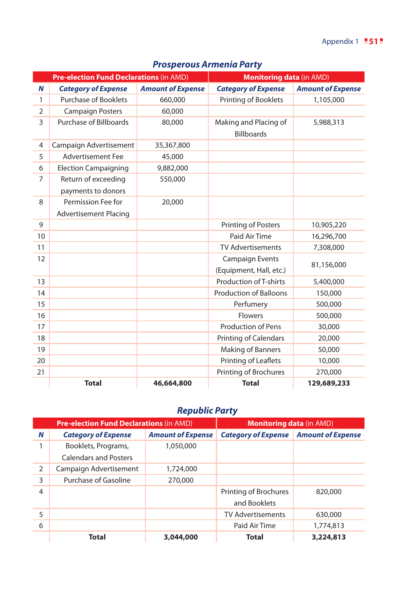|                | <b>Pre-election Fund Declarations (in AMD)</b> |                          | <b>Monitoring data (in AMD)</b>            |                          |
|----------------|------------------------------------------------|--------------------------|--------------------------------------------|--------------------------|
| N              | <b>Category of Expense</b>                     | <b>Amount of Expense</b> | <b>Category of Expense</b>                 | <b>Amount of Expense</b> |
| 1              | <b>Purchase of Booklets</b>                    | 660,000                  | Printing of Booklets                       | 1,105,000                |
| $\overline{2}$ | <b>Campaign Posters</b>                        | 60,000                   |                                            |                          |
| 3              | Purchase of Billboards                         | 80,000                   | Making and Placing of<br><b>Billboards</b> | 5,988,313                |
| $\overline{4}$ | Campaign Advertisement                         | 35,367,800               |                                            |                          |
| 5              | <b>Advertisement Fee</b>                       | 45,000                   |                                            |                          |
| 6              | <b>Election Campaigning</b>                    | 9,882,000                |                                            |                          |
| $\overline{7}$ | Return of exceeding                            | 550,000                  |                                            |                          |
|                | payments to donors                             |                          |                                            |                          |
| 8              | Permission Fee for                             | 20,000                   |                                            |                          |
|                | <b>Advertisement Placing</b>                   |                          |                                            |                          |
| 9              |                                                |                          | <b>Printing of Posters</b>                 | 10,905,220               |
| 10             |                                                |                          | Paid Air Time                              | 16,296,700               |
| 11             |                                                |                          | <b>TV Advertisements</b>                   | 7,308,000                |
| 12             |                                                |                          | <b>Campaign Events</b>                     | 81,156,000               |
|                |                                                |                          | (Equipment, Hall, etc.)                    |                          |
| 13             |                                                |                          | <b>Production of T-shirts</b>              | 5,400,000                |
| 14             |                                                |                          | <b>Production of Balloons</b>              | 150,000                  |
| 15             |                                                |                          | Perfumery                                  | 500,000                  |
| 16             |                                                |                          | <b>Flowers</b>                             | 500,000                  |
| 17             |                                                |                          | <b>Production of Pens</b>                  | 30,000                   |
| 18             |                                                |                          | <b>Printing of Calendars</b>               | 20,000                   |
| 19             |                                                |                          | Making of Banners                          | 50,000                   |
| 20             |                                                |                          | Printing of Leaflets                       | 10,000                   |
| 21             |                                                |                          | Printing of Brochures                      | 270,000                  |
|                | <b>Total</b>                                   | 46,664,800               | <b>Total</b>                               | 129,689,233              |

## *Prosperous Armenia Party*

# *Republic Party*

|   | <b>Pre-election Fund Declarations (in AMD)</b> |                          | <b>Monitoring data (in AMD)</b> |                          |
|---|------------------------------------------------|--------------------------|---------------------------------|--------------------------|
| N | <b>Category of Expense</b>                     | <b>Amount of Expense</b> | <b>Category of Expense</b>      | <b>Amount of Expense</b> |
|   | Booklets, Programs,                            | 1,050,000                |                                 |                          |
|   | <b>Calendars and Posters</b>                   |                          |                                 |                          |
| 2 | Campaign Advertisement                         | 1,724,000                |                                 |                          |
| 3 | Purchase of Gasoline                           | 270,000                  |                                 |                          |
| 4 |                                                |                          | Printing of Brochures           | 820,000                  |
|   |                                                |                          | and Booklets                    |                          |
| 5 |                                                |                          | <b>TV Advertisements</b>        | 630,000                  |
| 6 |                                                |                          | Paid Air Time                   | 1,774,813                |
|   | <b>Total</b>                                   | 3,044,000                | Total                           | 3,224,813                |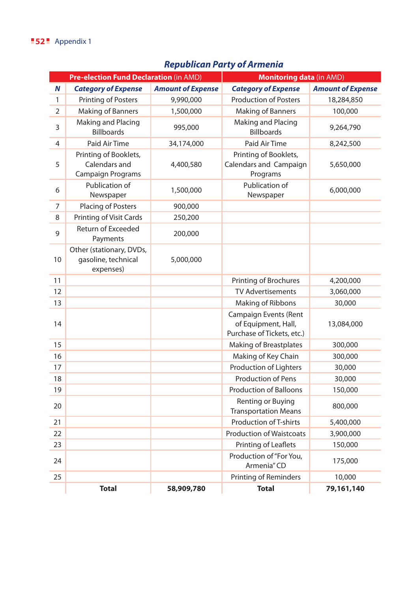# *Republican Party of Armenia*

|    | <b>Pre-election Fund Declaration (in AMD)</b>                      |                          | <b>Monitoring data (in AMD)</b>                                            |                          |
|----|--------------------------------------------------------------------|--------------------------|----------------------------------------------------------------------------|--------------------------|
| N  | <b>Category of Expense</b>                                         | <b>Amount of Expense</b> | <b>Category of Expense</b>                                                 | <b>Amount of Expense</b> |
| 1  | <b>Printing of Posters</b>                                         | 9,990,000                | <b>Production of Posters</b>                                               | 18,284,850               |
| 2  | Making of Banners                                                  | 1,500,000                | Making of Banners                                                          | 100,000                  |
| 3  | Making and Placing<br><b>Billboards</b>                            | 995,000                  | Making and Placing<br><b>Billboards</b>                                    | 9,264,790                |
| 4  | Paid Air Time                                                      | 34,174,000               | Paid Air Time                                                              | 8,242,500                |
| 5  | Printing of Booklets,<br>Calendars and<br><b>Campaign Programs</b> | 4,400,580                | Printing of Booklets,<br>Calendars and Campaign<br>Programs                | 5,650,000                |
| 6  | Publication of<br>Newspaper                                        | 1,500,000                | Publication of<br>Newspaper                                                | 6,000,000                |
| 7  | Placing of Posters                                                 | 900,000                  |                                                                            |                          |
| 8  | Printing of Visit Cards                                            | 250,200                  |                                                                            |                          |
| 9  | Return of Exceeded<br>Payments                                     | 200,000                  |                                                                            |                          |
| 10 | Other (stationary, DVDs,<br>gasoline, technical<br>expenses)       | 5,000,000                |                                                                            |                          |
| 11 |                                                                    |                          | Printing of Brochures                                                      | 4,200,000                |
| 12 |                                                                    |                          | <b>TV Advertisements</b>                                                   | 3,060,000                |
| 13 |                                                                    |                          | Making of Ribbons                                                          | 30,000                   |
| 14 |                                                                    |                          | Campaign Events (Rent<br>of Equipment, Hall,<br>Purchase of Tickets, etc.) | 13,084,000               |
| 15 |                                                                    |                          | <b>Making of Breastplates</b>                                              | 300,000                  |
| 16 |                                                                    |                          | Making of Key Chain                                                        | 300,000                  |
| 17 |                                                                    |                          | Production of Lighters                                                     | 30,000                   |
| 18 |                                                                    |                          | <b>Production of Pens</b>                                                  | 30,000                   |
| 19 |                                                                    |                          | <b>Production of Balloons</b>                                              | 150,000                  |
| 20 |                                                                    |                          | Renting or Buying<br><b>Transportation Means</b>                           | 800,000                  |
| 21 |                                                                    |                          | Production of T-shirts                                                     | 5,400,000                |
| 22 |                                                                    |                          | <b>Production of Waistcoats</b>                                            | 3,900,000                |
| 23 |                                                                    |                          | Printing of Leaflets                                                       | 150,000                  |
| 24 |                                                                    |                          | Production of "For You,<br>Armenia" CD                                     | 175,000                  |
| 25 |                                                                    |                          | Printing of Reminders                                                      | 10,000                   |
|    | <b>Total</b>                                                       | 58,909,780               | <b>Total</b>                                                               | 79,161,140               |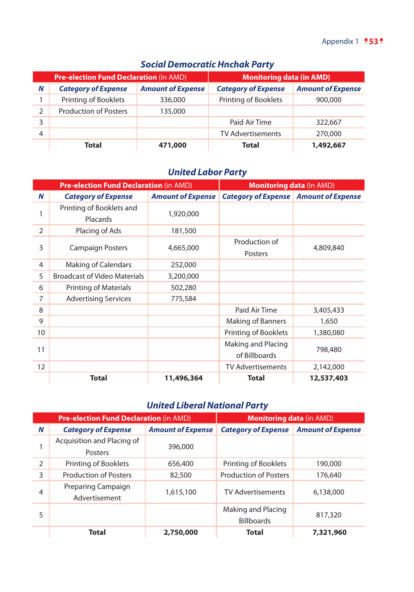|               | <b>Pre-election Fund Declaration (in AMD)</b> |                          | <b>Monitoring data (in AMD)</b> |                          |
|---------------|-----------------------------------------------|--------------------------|---------------------------------|--------------------------|
| N             | <b>Category of Expense</b>                    | <b>Amount of Expense</b> | <b>Category of Expense</b>      | <b>Amount of Expense</b> |
|               | Printing of Booklets                          | 336,000                  | Printing of Booklets            | 900,000                  |
| $\mathcal{P}$ | <b>Production of Posters</b>                  | 135,000                  |                                 |                          |
| 3             |                                               |                          | Paid Air Time                   | 322,667                  |
| 4             |                                               |                          | <b>TV Advertisements</b>        | 270,000                  |
|               | Total                                         | 471,000                  | Total                           | 1,492,667                |

## *Social Democratic Hnchak Party*

## *United Labor Party*

|    | <b>Pre-election Fund Declaration (in AMD)</b> |                          | <b>Monitoring data (in AMD)</b>              |            |
|----|-----------------------------------------------|--------------------------|----------------------------------------------|------------|
| N  | <b>Category of Expense</b>                    | <b>Amount of Expense</b> | <b>Category of Expense</b> Amount of Expense |            |
| 1  | Printing of Booklets and<br>Placards          | 1,920,000                |                                              |            |
| 2  | Placing of Ads                                | 181,500                  |                                              |            |
| 3  | <b>Campaign Posters</b>                       | 4,665,000                | Production of<br>Posters                     | 4,809,840  |
| 4  | Making of Calendars                           | 252,000                  |                                              |            |
| 5  | <b>Broadcast of Video Materials</b>           | 3,200,000                |                                              |            |
| 6  | <b>Printing of Materials</b>                  | 502,280                  |                                              |            |
| 7  | <b>Advertising Services</b>                   | 775,584                  |                                              |            |
| 8  |                                               |                          | Paid Air Time                                | 3,405,433  |
| 9  |                                               |                          | <b>Making of Banners</b>                     | 1,650      |
| 10 |                                               |                          | Printing of Booklets                         | 1,380,080  |
| 11 |                                               |                          | Making and Placing<br>of Billboards          | 798,480    |
| 12 |                                               |                          | <b>TV Advertisements</b>                     | 2,142,000  |
|    | <b>Total</b>                                  | 11,496,364               | <b>Total</b>                                 | 12,537,403 |

## *United Liberal National Party*

|   | <b>Pre-election Fund Declaration (in AMD)</b> |                          | <b>Monitoring data (in AMD)</b>         |                          |
|---|-----------------------------------------------|--------------------------|-----------------------------------------|--------------------------|
| N | <b>Category of Expense</b>                    | <b>Amount of Expense</b> | <b>Category of Expense</b>              | <b>Amount of Expense</b> |
| 1 | Acquisition and Placing of<br>Posters         | 396,000                  |                                         |                          |
| 2 | Printing of Booklets                          | 656,400                  | Printing of Booklets                    | 190,000                  |
| 3 | <b>Production of Posters</b>                  | 82,500                   | <b>Production of Posters</b>            | 176,640                  |
| 4 | Preparing Campaign<br>Advertisement           | 1,615,100                | <b>TV Advertisements</b>                | 6,138,000                |
| 5 |                                               |                          | Making and Placing<br><b>Billboards</b> | 817,320                  |
|   | <b>Total</b>                                  | 2,750,000                | <b>Total</b>                            | 7,321,960                |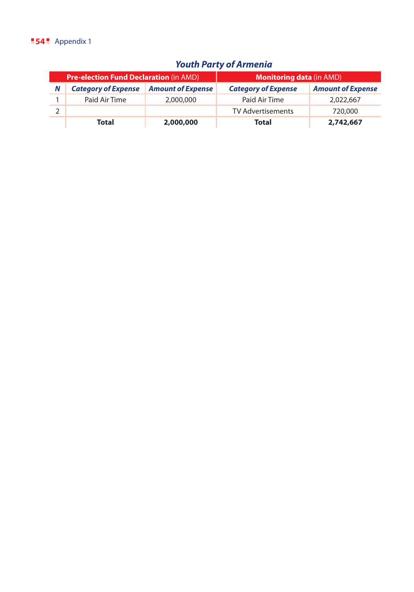#### **54** Appendix 1

# *Youth Party of Armenia*

| <b>Pre-election Fund Declaration (in AMD)</b> |                            | <b>Monitoring data (in AMD)</b> |                            |                          |
|-----------------------------------------------|----------------------------|---------------------------------|----------------------------|--------------------------|
| N                                             | <b>Category of Expense</b> | <b>Amount of Expense</b>        | <b>Category of Expense</b> | <b>Amount of Expense</b> |
|                                               | Paid Air Time              | 2,000,000                       | Paid Air Time              | 2,022,667                |
|                                               |                            |                                 | <b>TV Advertisements</b>   | 720,000                  |
|                                               | Total                      | 2,000,000                       | Total                      | 2,742,667                |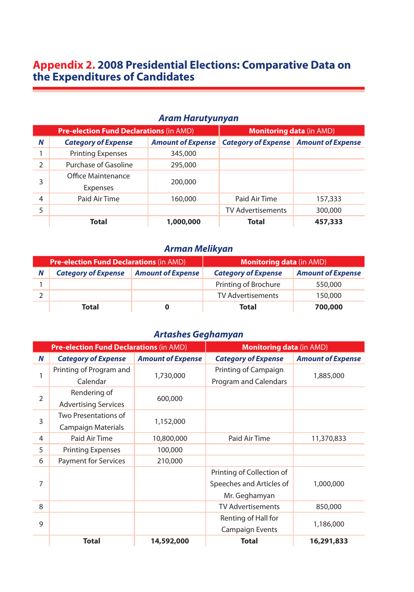# **Appendix 2. 2008 Presidential Elections: Comparative Data on the Expenditures of Candidates**

#### *Aram Harutyunyan*

|               | <b>Pre-election Fund Declarations (in AMD)</b> |                          | <b>Monitoring data (in AMD)</b>              |         |
|---------------|------------------------------------------------|--------------------------|----------------------------------------------|---------|
| N             | <b>Category of Expense</b>                     | <b>Amount of Expense</b> | <b>Category of Expense</b> Amount of Expense |         |
|               | <b>Printing Expenses</b>                       | 345,000                  |                                              |         |
| $\mathcal{P}$ | Purchase of Gasoline                           | 295,000                  |                                              |         |
| 3             | Office Maintenance<br>Expenses                 | 200,000                  |                                              |         |
| 4             | Paid Air Time                                  | 160,000                  | Paid Air Time                                | 157,333 |
| 5             |                                                |                          | <b>TV Advertisements</b>                     | 300,000 |
|               | <b>Total</b>                                   | 1,000,000                | <b>Total</b>                                 | 457,333 |

## *Arman Melikyan*

| <b>Pre-election Fund Declarations (in AMD)</b> |                            | <b>Monitoring data (in AMD)</b> |                            |                          |
|------------------------------------------------|----------------------------|---------------------------------|----------------------------|--------------------------|
| N                                              | <b>Category of Expense</b> | <b>Amount of Expense</b>        | <b>Category of Expense</b> | <b>Amount of Expense</b> |
|                                                |                            |                                 | Printing of Brochure       | 550,000                  |
|                                                |                            |                                 | <b>TV Advertisements</b>   | 150,000                  |
|                                                | Total                      |                                 | Total                      | 700,000                  |

# *Artashes Geghamyan*

|   | <b>Pre-election Fund Declarations (in AMD)</b> |                          | <b>Monitoring data (in AMD)</b> |                          |
|---|------------------------------------------------|--------------------------|---------------------------------|--------------------------|
| N | <b>Category of Expense</b>                     | <b>Amount of Expense</b> | <b>Category of Expense</b>      | <b>Amount of Expense</b> |
| 1 | Printing of Program and                        | 1,730,000                | Printing of Campaign            |                          |
|   | Calendar                                       |                          | Program and Calendars           | 1,885,000                |
| 2 | Rendering of                                   |                          |                                 |                          |
|   | <b>Advertising Services</b>                    | 600,000                  |                                 |                          |
| 3 | Two Presentations of                           |                          |                                 |                          |
|   | <b>Campaign Materials</b>                      | 1,152,000                |                                 |                          |
| 4 | Paid Air Time                                  | 10,800,000               | Paid Air Time                   | 11,370,833               |
| 5 | <b>Printing Expenses</b>                       | 100,000                  |                                 |                          |
| 6 | <b>Payment for Services</b>                    | 210,000                  |                                 |                          |
|   |                                                |                          | Printing of Collection of       |                          |
| 7 |                                                |                          | Speeches and Articles of        | 1,000,000                |
|   |                                                |                          | Mr. Geghamyan                   |                          |
| 8 |                                                |                          | <b>TV Advertisements</b>        | 850,000                  |
| 9 |                                                |                          | Renting of Hall for             |                          |
|   |                                                |                          | Campaign Events                 | 1,186,000                |
|   | Total                                          | 14,592,000               | <b>Total</b>                    | 16,291,833               |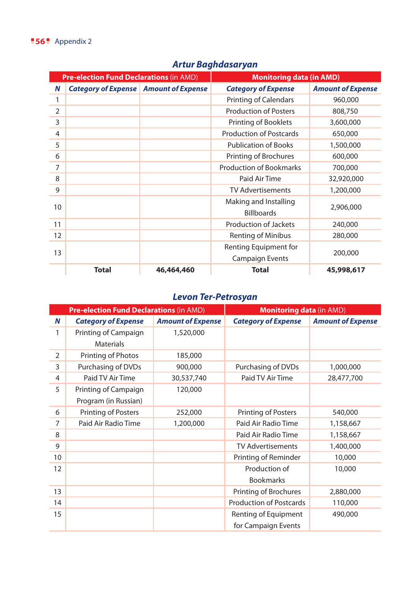|                | <b>Pre-election Fund Declarations (in AMD)</b> |            | <b>Monitoring data (in AMD)</b> |                          |
|----------------|------------------------------------------------|------------|---------------------------------|--------------------------|
| Ν              | <b>Category of Expense</b> Amount of Expense   |            | <b>Category of Expense</b>      | <b>Amount of Expense</b> |
| 1              |                                                |            | Printing of Calendars           | 960,000                  |
| $\overline{2}$ |                                                |            | <b>Production of Posters</b>    | 808,750                  |
| 3              |                                                |            | Printing of Booklets            | 3,600,000                |
| 4              |                                                |            | <b>Production of Postcards</b>  | 650,000                  |
| 5              |                                                |            | <b>Publication of Books</b>     | 1,500,000                |
| 6              |                                                |            | Printing of Brochures           | 600,000                  |
| 7              |                                                |            | <b>Production of Bookmarks</b>  | 700,000                  |
| 8              |                                                |            | Paid Air Time                   | 32,920,000               |
| 9              |                                                |            | <b>TV Advertisements</b>        | 1,200,000                |
| 10             |                                                |            | Making and Installing           |                          |
|                |                                                |            | <b>Billboards</b>               | 2,906,000                |
| 11             |                                                |            | Production of Jackets           | 240,000                  |
| 12             |                                                |            | <b>Renting of Minibus</b>       | 280,000                  |
|                |                                                |            | Renting Equipment for           |                          |
| 13             |                                                |            | <b>Campaign Events</b>          | 200,000                  |
|                | <b>Total</b>                                   | 46,464,460 | <b>Total</b>                    | 45,998,617               |

# *Artur Baghdasaryan*

## *Levon Ter-Petrosyan*

|    | <b>Pre-election Fund Declarations (in AMD)</b> |                          | <b>Monitoring data (in AMD)</b> |                          |
|----|------------------------------------------------|--------------------------|---------------------------------|--------------------------|
| N  | <b>Category of Expense</b>                     | <b>Amount of Expense</b> | <b>Category of Expense</b>      | <b>Amount of Expense</b> |
| 1  | Printing of Campaign                           | 1,520,000                |                                 |                          |
|    | <b>Materials</b>                               |                          |                                 |                          |
| 2  | Printing of Photos                             | 185,000                  |                                 |                          |
| 3  | Purchasing of DVDs                             | 900,000                  | Purchasing of DVDs              | 1,000,000                |
| 4  | Paid TV Air Time                               | 30,537,740               | Paid TV Air Time                | 28,477,700               |
| 5  | Printing of Campaign                           | 120,000                  |                                 |                          |
|    | Program (in Russian)                           |                          |                                 |                          |
| 6  | Printing of Posters                            | 252,000                  | <b>Printing of Posters</b>      | 540,000                  |
| 7  | Paid Air Radio Time                            | 1,200,000                | Paid Air Radio Time             | 1,158,667                |
| 8  |                                                |                          | Paid Air Radio Time             | 1,158,667                |
| 9  |                                                |                          | <b>TV Advertisements</b>        | 1,400,000                |
| 10 |                                                |                          | Printing of Reminder            | 10,000                   |
| 12 |                                                |                          | Production of                   | 10,000                   |
|    |                                                |                          | <b>Bookmarks</b>                |                          |
| 13 |                                                |                          | Printing of Brochures           | 2,880,000                |
| 14 |                                                |                          | <b>Production of Postcards</b>  | 110,000                  |
| 15 |                                                |                          | Renting of Equipment            | 490,000                  |
|    |                                                |                          | for Campaign Events             |                          |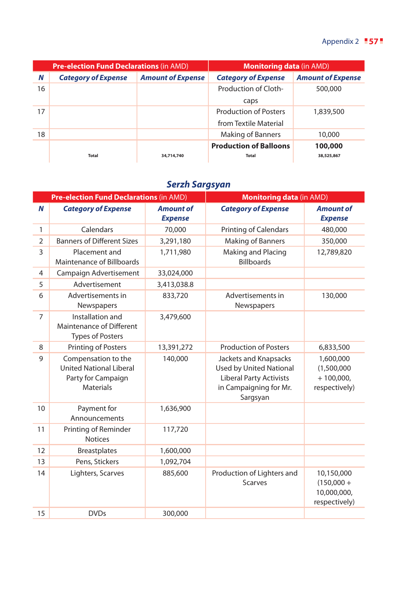|    | <b>Pre-election Fund Declarations (in AMD)</b> |                          | <b>Monitoring data</b> (in AMD) |                          |
|----|------------------------------------------------|--------------------------|---------------------------------|--------------------------|
| N  | <b>Category of Expense</b>                     | <b>Amount of Expense</b> | <b>Category of Expense</b>      | <b>Amount of Expense</b> |
| 16 |                                                |                          | Production of Cloth-            | 500,000                  |
|    |                                                |                          | caps                            |                          |
| 17 |                                                |                          | <b>Production of Posters</b>    | 1,839,500                |
|    |                                                |                          | from Textile Material           |                          |
| 18 |                                                |                          | <b>Making of Banners</b>        | 10,000                   |
|    |                                                |                          | <b>Production of Balloons</b>   | 100,000                  |
|    | Total                                          | 34.714.740               | Total                           | 38,525,867               |

# *Serzh Sargsyan*

|                | <b>Pre-election Fund Declarations (in AMD)</b>                                                  |                                    | <b>Monitoring data (in AMD)</b>                                                                                                 |                                                            |
|----------------|-------------------------------------------------------------------------------------------------|------------------------------------|---------------------------------------------------------------------------------------------------------------------------------|------------------------------------------------------------|
| N              | <b>Category of Expense</b>                                                                      | <b>Amount of</b><br><b>Expense</b> | <b>Category of Expense</b>                                                                                                      | <b>Amount of</b><br><b>Expense</b>                         |
| $\mathbf{1}$   | Calendars                                                                                       | 70,000                             | <b>Printing of Calendars</b>                                                                                                    | 480,000                                                    |
| $\overline{2}$ | <b>Banners of Different Sizes</b>                                                               | 3,291,180                          | <b>Making of Banners</b>                                                                                                        | 350,000                                                    |
| 3              | Placement and<br>Maintenance of Billboards                                                      | 1,711,980                          | Making and Placing<br><b>Billboards</b>                                                                                         | 12,789,820                                                 |
| 4              | Campaign Advertisement                                                                          | 33,024,000                         |                                                                                                                                 |                                                            |
| 5              | Advertisement                                                                                   | 3,413,038.8                        |                                                                                                                                 |                                                            |
| 6              | Advertisements in<br>Newspapers                                                                 | 833,720                            | Advertisements in<br>Newspapers                                                                                                 | 130,000                                                    |
| $\overline{7}$ | Installation and<br>Maintenance of Different<br><b>Types of Posters</b>                         | 3,479,600                          |                                                                                                                                 |                                                            |
| 8              | <b>Printing of Posters</b>                                                                      | 13,391,272                         | <b>Production of Posters</b>                                                                                                    | 6,833,500                                                  |
| 9              | Compensation to the<br><b>United National Liberal</b><br>Party for Campaign<br><b>Materials</b> | 140,000                            | Jackets and Knapsacks<br><b>Used by United National</b><br><b>Liberal Party Activists</b><br>in Campaigning for Mr.<br>Sargsyan | 1,600,000<br>(1,500,000)<br>$+100,000,$<br>respectively)   |
| 10             | Payment for<br>Announcements                                                                    | 1,636,900                          |                                                                                                                                 |                                                            |
| 11             | Printing of Reminder<br><b>Notices</b>                                                          | 117,720                            |                                                                                                                                 |                                                            |
| 12             | <b>Breastplates</b>                                                                             | 1,600,000                          |                                                                                                                                 |                                                            |
| 13             | Pens, Stickers                                                                                  | 1,092,704                          |                                                                                                                                 |                                                            |
| 14             | Lighters, Scarves                                                                               | 885,600                            | Production of Lighters and<br><b>Scarves</b>                                                                                    | 10,150,000<br>$(150,000 +$<br>10,000,000,<br>respectively) |
| 15             | <b>DVDs</b>                                                                                     | 300,000                            |                                                                                                                                 |                                                            |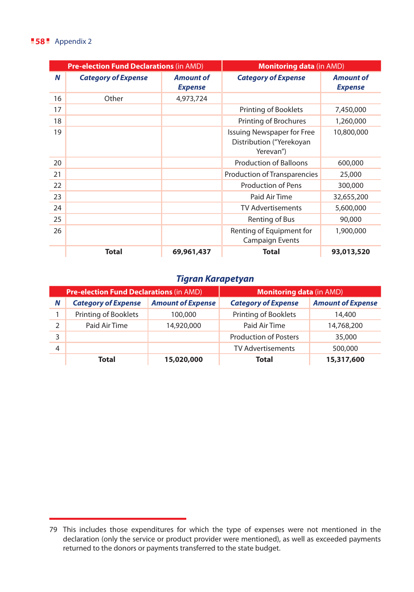#### **58** Appendix 2

|    | <b>Pre-election Fund Declarations (in AMD)</b> |                                    | <b>Monitoring data (in AMD)</b>                                     |                                    |
|----|------------------------------------------------|------------------------------------|---------------------------------------------------------------------|------------------------------------|
| N  | <b>Category of Expense</b>                     | <b>Amount of</b><br><b>Expense</b> | <b>Category of Expense</b>                                          | <b>Amount of</b><br><b>Expense</b> |
| 16 | Other                                          | 4,973,724                          |                                                                     |                                    |
| 17 |                                                |                                    | Printing of Booklets                                                | 7,450,000                          |
| 18 |                                                |                                    | Printing of Brochures                                               | 1,260,000                          |
| 19 |                                                |                                    | Issuing Newspaper for Free<br>Distribution ("Yerekoyan<br>Yerevan") | 10,800,000                         |
| 20 |                                                |                                    | Production of Balloons                                              | 600,000                            |
| 21 |                                                |                                    | Production of Transparencies                                        | 25,000                             |
| 22 |                                                |                                    | <b>Production of Pens</b>                                           | 300,000                            |
| 23 |                                                |                                    | Paid Air Time                                                       | 32,655,200                         |
| 24 |                                                |                                    | <b>TV Advertisements</b>                                            | 5,600,000                          |
| 25 |                                                |                                    | Renting of Bus                                                      | 90,000                             |
| 26 |                                                |                                    | Renting of Equipment for<br><b>Campaign Events</b>                  | 1,900,000                          |
|    | <b>Total</b>                                   | 69,961,437                         | <b>Total</b>                                                        | 93,013,520                         |

#### *Tigran Karapetyan*

| <b>Pre-election Fund Declarations (in AMD)</b> |                             | <b>Monitoring data (in AMD)</b> |                              |                          |
|------------------------------------------------|-----------------------------|---------------------------------|------------------------------|--------------------------|
| N                                              | <b>Category of Expense</b>  | <b>Amount of Expense</b>        | <b>Category of Expense</b>   | <b>Amount of Expense</b> |
|                                                | <b>Printing of Booklets</b> | 100,000                         | Printing of Booklets         | 14,400                   |
| $\mathcal{P}$                                  | Paid Air Time               | 14,920,000                      | Paid Air Time                | 14,768,200               |
| 3                                              |                             |                                 | <b>Production of Posters</b> | 35,000                   |
| $\overline{4}$                                 |                             |                                 | <b>TV Advertisements</b>     | 500,000                  |
|                                                | Total                       | 15,020,000                      | Total                        | 15,317,600               |

<sup>79</sup> This includes those expenditures for which the type of expenses were not mentioned in the declaration (only the service or product provider were mentioned), as well as exceeded payments returned to the donors or payments transferred to the state budget.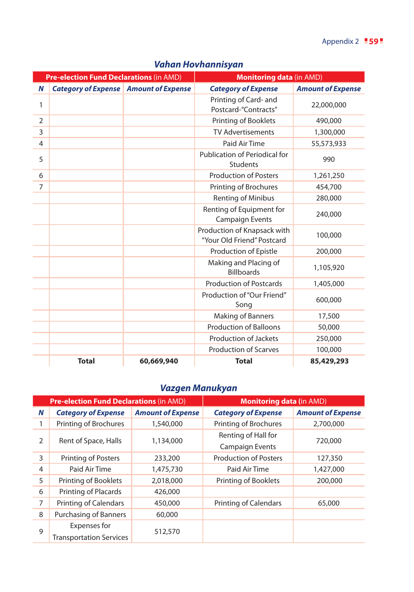|                | <b>Pre-election Fund Declarations (in AMD)</b> |            | <b>Monitoring data (in AMD)</b>                           |                          |  |
|----------------|------------------------------------------------|------------|-----------------------------------------------------------|--------------------------|--|
| N              | <b>Category of Expense</b> Amount of Expense   |            | <b>Category of Expense</b>                                | <b>Amount of Expense</b> |  |
| 1              |                                                |            | Printing of Card- and<br>Postcard-"Contracts"             | 22,000,000               |  |
| $\overline{2}$ |                                                |            | Printing of Booklets                                      | 490,000                  |  |
| 3              |                                                |            | <b>TV Advertisements</b>                                  | 1,300,000                |  |
| 4              |                                                |            | Paid Air Time                                             | 55,573,933               |  |
| 5              |                                                |            | Publication of Periodical for<br><b>Students</b>          | 990                      |  |
| 6              |                                                |            | <b>Production of Posters</b>                              | 1,261,250                |  |
| $\overline{7}$ |                                                |            | Printing of Brochures                                     | 454,700                  |  |
|                |                                                |            | <b>Renting of Minibus</b>                                 | 280,000                  |  |
|                |                                                |            | Renting of Equipment for<br><b>Campaign Events</b>        | 240,000                  |  |
|                |                                                |            | Production of Knapsack with<br>"Your Old Friend" Postcard | 100,000                  |  |
|                |                                                |            | Production of Epistle                                     | 200,000                  |  |
|                |                                                |            | Making and Placing of<br><b>Billboards</b>                | 1,105,920                |  |
|                |                                                |            | <b>Production of Postcards</b>                            | 1,405,000                |  |
|                |                                                |            | Production of "Our Friend"<br>Song                        | 600,000                  |  |
|                |                                                |            | Making of Banners                                         | 17,500                   |  |
|                |                                                |            | <b>Production of Balloons</b>                             | 50,000                   |  |
|                |                                                |            | <b>Production of Jackets</b>                              | 250,000                  |  |
|                |                                                |            | <b>Production of Scarves</b>                              | 100,000                  |  |
|                | <b>Total</b>                                   | 60,669,940 | <b>Total</b>                                              | 85,429,293               |  |

## *Vahan Hovhannisyan*

## *Vazgen Manukyan*

|   | <b>Pre-election Fund Declarations (in AMD)</b> |                          | <b>Monitoring data (in AMD)</b> |                                            |  |
|---|------------------------------------------------|--------------------------|---------------------------------|--------------------------------------------|--|
| N | <b>Category of Expense</b>                     | <b>Amount of Expense</b> | <b>Category of Expense</b>      | <b>Amount of Expense</b>                   |  |
|   | Printing of Brochures                          | 1,540,000                | Printing of Brochures           | 2,700,000                                  |  |
|   |                                                |                          | Renting of Hall for             | 720,000<br>127,350<br>1,427,000<br>200,000 |  |
| 2 | Rent of Space, Halls                           | 1,134,000                | <b>Campaign Events</b>          |                                            |  |
| 3 | <b>Printing of Posters</b>                     | 233,200                  | <b>Production of Posters</b>    |                                            |  |
| 4 | Paid Air Time                                  | 1,475,730                | Paid Air Time                   |                                            |  |
| 5 | Printing of Booklets                           | 2,018,000                | Printing of Booklets            |                                            |  |
| 6 | Printing of Placards                           | 426,000                  |                                 |                                            |  |
| 7 | <b>Printing of Calendars</b>                   | 450,000                  | <b>Printing of Calendars</b>    | 65,000                                     |  |
| 8 | <b>Purchasing of Banners</b>                   | 60,000                   |                                 |                                            |  |
|   | Expenses for                                   |                          |                                 |                                            |  |
| 9 | <b>Transportation Services</b>                 | 512,570                  |                                 |                                            |  |